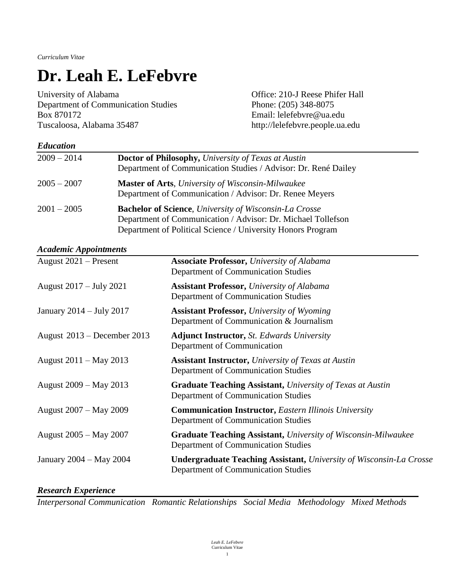*Curriculum Vitae*

# **Dr. Leah E. LeFebvre**

University of Alabama<br>
Office: 210-J Reese Phifer Hall Department of Communication Studies Phone: (205) 348-8075 Box 870172 Email: lelefebvre@ua.edu Tuscaloosa, Alabama 35487 http://lelefebvre.people.ua.edu

| <b>Education</b> |                                                                                                                                                                                               |
|------------------|-----------------------------------------------------------------------------------------------------------------------------------------------------------------------------------------------|
| $2009 - 2014$    | <b>Doctor of Philosophy, University of Texas at Austin</b><br>Department of Communication Studies / Advisor: Dr. René Dailey                                                                  |
| $2005 - 2007$    | <b>Master of Arts, University of Wisconsin-Milwaukee</b><br>Department of Communication / Advisor: Dr. Renee Meyers                                                                           |
| $2001 - 2005$    | <b>Bachelor of Science</b> , University of Wisconsin-La Crosse<br>Department of Communication / Advisor: Dr. Michael Tollefson<br>Department of Political Science / University Honors Program |

#### *Academic Appointments*

| August $2021$ – Present     | <b>Associate Professor, University of Alabama</b><br>Department of Communication Studies                          |
|-----------------------------|-------------------------------------------------------------------------------------------------------------------|
| August 2017 – July 2021     | <b>Assistant Professor, University of Alabama</b><br>Department of Communication Studies                          |
| January 2014 – July 2017    | <b>Assistant Professor, University of Wyoming</b><br>Department of Communication & Journalism                     |
| August 2013 – December 2013 | <b>Adjunct Instructor, St. Edwards University</b><br>Department of Communication                                  |
| August 2011 – May 2013      | <b>Assistant Instructor, University of Texas at Austin</b><br>Department of Communication Studies                 |
| August 2009 – May 2013      | <b>Graduate Teaching Assistant, University of Texas at Austin</b><br>Department of Communication Studies          |
| August 2007 – May 2009      | <b>Communication Instructor, Eastern Illinois University</b><br>Department of Communication Studies               |
| August 2005 – May 2007      | <b>Graduate Teaching Assistant, University of Wisconsin-Milwaukee</b><br>Department of Communication Studies      |
| January 2004 – May 2004     | <b>Undergraduate Teaching Assistant, University of Wisconsin-La Crosse</b><br>Department of Communication Studies |

#### *Research Experience*

*Interpersonal Communication Romantic Relationships Social Media Methodology Mixed Methods*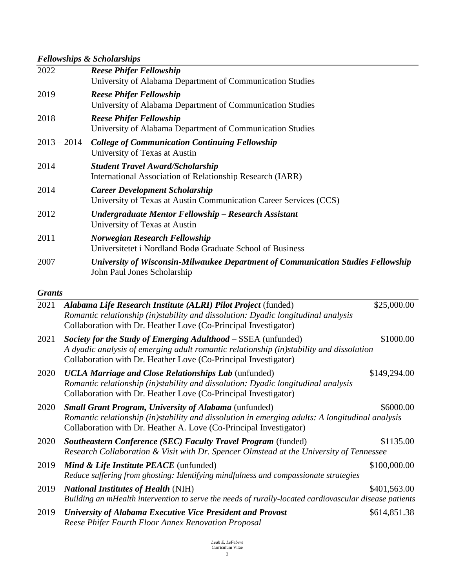## *Fellowships & Scholarships*

|               | 1 chowships a scholar ships                                                                                     |
|---------------|-----------------------------------------------------------------------------------------------------------------|
| 2022          | <b>Reese Phifer Fellowship</b><br>University of Alabama Department of Communication Studies                     |
| 2019          | <b>Reese Phifer Fellowship</b><br>University of Alabama Department of Communication Studies                     |
| 2018          | <b>Reese Phifer Fellowship</b><br>University of Alabama Department of Communication Studies                     |
| $2013 - 2014$ | <b>College of Communication Continuing Fellowship</b><br>University of Texas at Austin                          |
| 2014          | <b>Student Travel Award/Scholarship</b><br>International Association of Relationship Research (IARR)            |
| 2014          | <b>Career Development Scholarship</b><br>University of Texas at Austin Communication Career Services (CCS)      |
| 2012          | Undergraduate Mentor Fellowship – Research Assistant<br>University of Texas at Austin                           |
| 2011          | Norwegian Research Fellowship<br>Universitetet i Nordland Bodø Graduate School of Business                      |
| 2007          | University of Wisconsin-Milwaukee Department of Communication Studies Fellowship<br>John Paul Jones Scholarship |

#### *Grants*

| 2021 | Alabama Life Research Institute (ALRI) Pilot Project (funded)                                                                                                                                                               | \$25,000.00  |
|------|-----------------------------------------------------------------------------------------------------------------------------------------------------------------------------------------------------------------------------|--------------|
|      | Romantic relationship (in)stability and dissolution: Dyadic longitudinal analysis                                                                                                                                           |              |
|      | Collaboration with Dr. Heather Love (Co-Principal Investigator)                                                                                                                                                             |              |
| 2021 | Society for the Study of Emerging Adulthood – SSEA (unfunded)<br>A dyadic analysis of emerging adult romantic relationship (in)stability and dissolution<br>Collaboration with Dr. Heather Love (Co-Principal Investigator) | \$1000.00    |
| 2020 | UCLA Marriage and Close Relationships Lab (unfunded)                                                                                                                                                                        | \$149,294.00 |
|      | Romantic relationship (in)stability and dissolution: Dyadic longitudinal analysis<br>Collaboration with Dr. Heather Love (Co-Principal Investigator)                                                                        |              |
| 2020 | <b>Small Grant Program, University of Alabama</b> (unfunded)                                                                                                                                                                | \$6000.00    |
|      | Romantic relationship (in)stability and dissolution in emerging adults: A longitudinal analysis<br>Collaboration with Dr. Heather A. Love (Co-Principal Investigator)                                                       |              |
| 2020 | <b>Southeastern Conference (SEC) Faculty Travel Program (funded)</b>                                                                                                                                                        | \$1135.00    |
|      | Research Collaboration & Visit with Dr. Spencer Olmstead at the University of Tennessee                                                                                                                                     |              |
| 2019 | <b>Mind &amp; Life Institute PEACE</b> (unfunded)                                                                                                                                                                           | \$100,000.00 |
|      | Reduce suffering from ghosting: Identifying mindfulness and compassionate strategies                                                                                                                                        |              |
| 2019 | <b>National Institutes of Health (NIH)</b>                                                                                                                                                                                  | \$401,563.00 |
|      | Building an mHealth intervention to serve the needs of rurally-located cardiovascular disease patients                                                                                                                      |              |
| 2019 | University of Alabama Executive Vice President and Provost<br>Reese Phifer Fourth Floor Annex Renovation Proposal                                                                                                           | \$614,851.38 |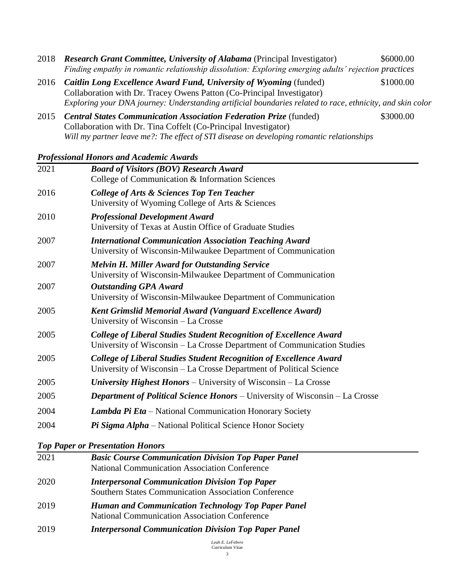- 2018 *Research Grant Committee, University of Alabama* (Principal Investigator) \$6000.00 *Finding empathy in romantic relationship dissolution: Exploring emerging adults' rejection practices*
- 2016 *Caitlin Long Excellence Award Fund, University of Wyoming* (funded)\$1000.00 Collaboration with Dr. Tracey Owens Patton (Co-Principal Investigator) *Exploring your DNA journey: Understanding artificial boundaries related to race, ethnicity, and skin color*
- 2015 *Central States Communication Association Federation Prize* (funded)\$3000.00 Collaboration with Dr. Tina Coffelt (Co-Principal Investigator) *Will my partner leave me?: The effect of STI disease on developing romantic relationships*

#### *Professional Honors and Academic Awards*

| 2021 | <b>Board of Visitors (BOV) Research Award</b><br>College of Communication & Information Sciences                                                     |
|------|------------------------------------------------------------------------------------------------------------------------------------------------------|
| 2016 | <b>College of Arts &amp; Sciences Top Ten Teacher</b><br>University of Wyoming College of Arts & Sciences                                            |
| 2010 | <b>Professional Development Award</b><br>University of Texas at Austin Office of Graduate Studies                                                    |
| 2007 | <b>International Communication Association Teaching Award</b><br>University of Wisconsin-Milwaukee Department of Communication                       |
| 2007 | <b>Melvin H. Miller Award for Outstanding Service</b><br>University of Wisconsin-Milwaukee Department of Communication                               |
| 2007 | <b>Outstanding GPA Award</b><br>University of Wisconsin-Milwaukee Department of Communication                                                        |
| 2005 | Kent Grimslid Memorial Award (Vanguard Excellence Award)<br>University of Wisconsin – La Crosse                                                      |
| 2005 | <b>College of Liberal Studies Student Recognition of Excellence Award</b><br>University of Wisconsin – La Crosse Department of Communication Studies |
| 2005 | <b>College of Liberal Studies Student Recognition of Excellence Award</b><br>University of Wisconsin – La Crosse Department of Political Science     |
| 2005 | University Highest Honors – University of Wisconsin – La Crosse                                                                                      |
| 2005 | <b>Department of Political Science Honors</b> – University of Wisconsin – La Crosse                                                                  |
| 2004 | <b>Lambda Pi Eta</b> – National Communication Honorary Society                                                                                       |
| 2004 | Pi Sigma Alpha – National Political Science Honor Society                                                                                            |

#### *Top Paper or Presentation Honors*

| 2021 | <b>Basic Course Communication Division Top Paper Panel</b><br><b>National Communication Association Conference</b>   |
|------|----------------------------------------------------------------------------------------------------------------------|
| 2020 | <b>Interpersonal Communication Division Top Paper</b><br><b>Southern States Communication Association Conference</b> |
| 2019 | <b>Human and Communication Technology Top Paper Panel</b><br><b>National Communication Association Conference</b>    |
| 2019 | <b>Interpersonal Communication Division Top Paper Panel</b>                                                          |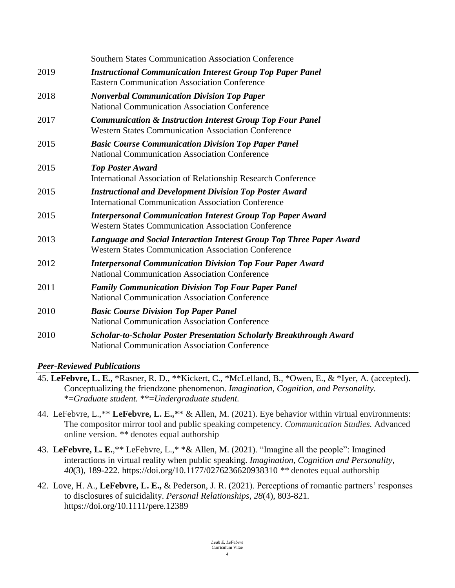|      | <b>Southern States Communication Association Conference</b>                                                                        |
|------|------------------------------------------------------------------------------------------------------------------------------------|
| 2019 | <b>Instructional Communication Interest Group Top Paper Panel</b><br><b>Eastern Communication Association Conference</b>           |
| 2018 | <b>Nonverbal Communication Division Top Paper</b><br><b>National Communication Association Conference</b>                          |
| 2017 | <b>Communication &amp; Instruction Interest Group Top Four Panel</b><br><b>Western States Communication Association Conference</b> |
| 2015 | <b>Basic Course Communication Division Top Paper Panel</b><br><b>National Communication Association Conference</b>                 |
| 2015 | <b>Top Poster Award</b><br>International Association of Relationship Research Conference                                           |
| 2015 | <b>Instructional and Development Division Top Poster Award</b><br><b>International Communication Association Conference</b>        |
| 2015 | <b>Interpersonal Communication Interest Group Top Paper Award</b><br><b>Western States Communication Association Conference</b>    |
| 2013 | Language and Social Interaction Interest Group Top Three Paper Award<br><b>Western States Communication Association Conference</b> |
| 2012 | <b>Interpersonal Communication Division Top Four Paper Award</b><br><b>National Communication Association Conference</b>           |
| 2011 | <b>Family Communication Division Top Four Paper Panel</b><br><b>National Communication Association Conference</b>                  |
| 2010 | <b>Basic Course Division Top Paper Panel</b><br><b>National Communication Association Conference</b>                               |
| 2010 | <b>Scholar-to-Scholar Poster Presentation Scholarly Breakthrough Award</b><br><b>National Communication Association Conference</b> |

#### *Peer-Reviewed Publications*

- 45. **LeFebvre, L. E.**, \*Rasner, R. D., \*\*Kickert, C., \*McLelland, B., \*Owen, E., & \*Iyer, A. (accepted). Conceptualizing the friendzone phenomenon. *Imagination, Cognition, and Personality.*  \*=*Graduate student.* \*\*=*Undergraduate student.*
- 44. LeFebvre, L.,\*\* **LeFebvre, L. E.,\***\* & Allen, M. (2021). Eye behavior within virtual environments: The compositor mirror tool and public speaking competency. *Communication Studies.* Advanced online version. *\*\** denotes equal authorship
- 43. **LeFebvre, L. E.**,\*\* LeFebvre, L.,\* \*& Allen, M. (2021). "Imagine all the people": Imagined interactions in virtual reality when public speaking. *Imagination, Cognition and Personality, 40*(3), 189-222. https://doi.org/10.1177/0276236620938310 *\*\** denotes equal authorship
- 42. Love, H. A., **LeFebvre, L. E.,** & Pederson, J. R. (2021). Perceptions of romantic partners' responses to disclosures of suicidality. *Personal Relationships, 28*(4), 803-821*.* <https://doi.org/10.1111/pere.12389>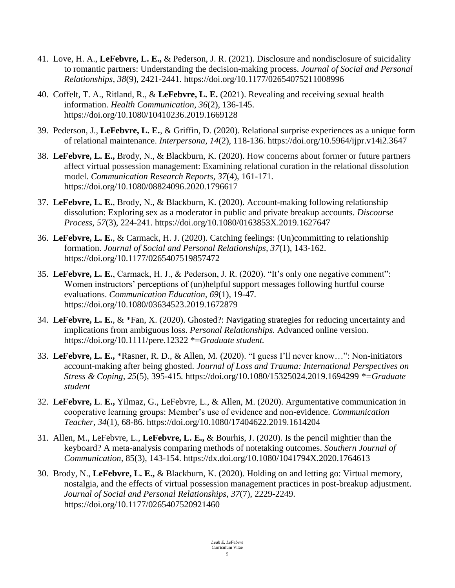- 41. Love, H. A., **LeFebvre, L. E.,** & Pederson, J. R. (2021). Disclosure and nondisclosure of suicidality to romantic partners: Understanding the decision-making process. *Journal of Social and Personal Relationships, 38*(9), 2421-2441*.* [https://doi.org/10.1177/02654075211008996](https://doi.org/10.1177%2F02654075211008996)
- 40. Coffelt, T. A., Ritland, R., & **LeFebvre, L. E.** (2021). Revealing and receiving sexual health information. *Health Communication, 36*(2), 136-145. <https://doi.org/10.1080/10410236.2019.1669128>
- 39. Pederson, J., **LeFebvre, L. E.**, & Griffin, D. (2020). Relational surprise experiences as a unique form of relational maintenance. *Interpersona, 14*(2), 118-136.<https://doi.org/10.5964/ijpr.v14i2.3647>
- 38. **LeFebvre, L. E.,** Brody, N., & Blackburn, K. (2020). How concerns about former or future partners affect virtual possession management: Examining relational curation in the relational dissolution model. *Communication Research Reports, 37*(4), 161-171. https://doi.org/10.1080/08824096.2020.1796617
- 37. **LeFebvre, L. E.**, Brody, N., & Blackburn, K. (2020). Account-making following relationship dissolution: Exploring sex as a moderator in public and private breakup accounts*. Discourse Process, 57*(3), 224-241. https://doi.org/10.1080/0163853X.2019.1627647
- 36. **LeFebvre, L. E.**, & Carmack, H. J. (2020). Catching feelings: (Un)committing to relationship formation. *Journal of Social and Personal Relationships, 37*(1), 143-162. https://doi.org/10.1177/0265407519857472
- 35. **LeFebvre, L. E.**, Carmack, H. J., & Pederson, J. R. (2020). "It's only one negative comment": Women instructors' perceptions of (un)helpful support messages following hurtful course evaluations. *Communication Education, 69*(1)*,* 19-47*.*  <https://doi.org/10.1080/03634523.2019.1672879>
- 34. **LeFebvre, L. E.**, & \*Fan, X. (2020). Ghosted?: Navigating strategies for reducing uncertainty and implications from ambiguous loss. *Personal Relationships.* Advanced online version. <https://doi.org/10.1111/pere.12322> \*=*Graduate student.*
- 33. **LeFebvre, L. E.,** \*Rasner, R. D., & Allen, M. (2020). "I guess I'll never know…": Non-initiators account-making after being ghosted. *Journal of Loss and Trauma: International Perspectives on Stress & Coping, 25*(5), 395-415*.* <https://doi.org/10.1080/15325024.2019.1694299> *\*=Graduate student*
- 32. **LeFebvre, L**. **E.,** Yilmaz, G., LeFebvre, L., & Allen, M. (2020). Argumentative communication in cooperative learning groups: Member's use of evidence and non-evidence. *Communication Teacher, 34*(1), 68-86.<https://doi.org/10.1080/17404622.2019.1614204>
- 31. Allen, M., LeFebvre, L., **LeFebvre, L. E.,** & Bourhis, J. (2020). Is the pencil mightier than the keyboard? A meta-analysis comparing methods of notetaking outcomes. *Southern Journal of Communication,* 85(3), 143-154. https://dx.doi.org/10.1080/1041794X.2020.1764613
- 30. Brody, N., **LeFebvre, L. E.,** & Blackburn, K. (2020). Holding on and letting go: Virtual memory, nostalgia, and the effects of virtual possession management practices in post-breakup adjustment. *Journal of Social and Personal Relationships, 37*(7), 2229-2249. https://doi.org/10.1177/0265407520921460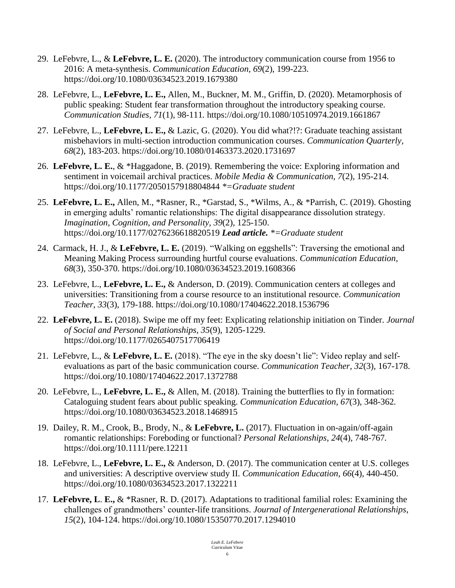- 29. LeFebvre, L., & **LeFebvre, L. E.** (2020). The introductory communication course from 1956 to 2016: A meta-synthesis. *Communication Education, 69*(2), 199-223. <https://doi.org/10.1080/03634523.2019.1679380>
- 28. LeFebvre, L., **LeFebvre, L. E.,** Allen, M., Buckner, M. M., Griffin, D. (2020). Metamorphosis of public speaking: Student fear transformation throughout the introductory speaking course. *Communication Studies, 71*(1), 98-111*.* <https://doi.org/10.1080/10510974.2019.1661867>
- 27. LeFebvre, L., **LeFebvre, L. E.,** & Lazic, G. (2020). You did what?!?: Graduate teaching assistant misbehaviors in multi-section introduction communication courses. *Communication Quarterly, 68*(2), 183-203. <https://doi.org/10.1080/01463373.2020.1731697>
- 26. **LeFebvre, L. E.**, & \*Haggadone, B. (2019). Remembering the voice: Exploring information and sentiment in voicemail archival practices. *Mobile Media & Communication, 7*(2)*,* 195-214*.*  [https://doi.org/10.1177/2050157918804844](https://doi.org/10.1177%2F2050157918804844) *\*=Graduate student*
- 25. **LeFebvre, L. E.,** Allen, M., \*Rasner, R., \*Garstad, S., \*Wilms, A., & \*Parrish, C. (2019). Ghosting in emerging adults' romantic relationships: The digital disappearance dissolution strategy. *Imagination, Cognition, and Personality, 39*(2), 125-150. [https://doi.org/10.1177/0276236618820519](https://doi.org/10.1177%2F0276236618820519) *Lead article. \*=Graduate student*
- 24. Carmack, H. J., & **LeFebvre, L. E.** (2019). "Walking on eggshells": Traversing the emotional and Meaning Making Process surrounding hurtful course evaluations. *Communication Education, 68*(3)*,* 350-370*.* <https://doi.org/10.1080/03634523.2019.1608366>
- 23. LeFebvre, L., **LeFebvre, L. E.,** & Anderson, D. (2019). Communication centers at colleges and universities: Transitioning from a course resource to an institutional resource. *Communication Teacher, 33*(3)*,* 179-188. <https://doi.org/10.1080/17404622.2018.1536796>
- 22. **LeFebvre, L. E.** (2018). Swipe me off my feet: Explicating relationship initiation on Tinder. *Journal of Social and Personal Relationships, 35*(9)*,* 1205-1229*.* [https://doi.org/10.1177/0265407517706419](https://doi.org/10.1177%2F0265407517706419)
- 21. LeFebvre, L., & **LeFebvre, L. E.** (2018). "The eye in the sky doesn't lie": Video replay and selfevaluations as part of the basic communication course. *Communication Teacher, 32*(3)*,* 167-178. <https://doi.org/10.1080/17404622.2017.1372788>
- 20. LeFebvre, L., **LeFebvre, L. E.,** & Allen, M. (2018). Training the butterflies to fly in formation: Cataloguing student fears about public speaking. *Communication Education, 67*(3)*,* 348-362*.* <https://doi.org/10.1080/03634523.2018.1468915>
- 19. Dailey, R. M., Crook, B., Brody, N., & **LeFebvre, L.** (2017). Fluctuation in on-again/off-again romantic relationships: Foreboding or functional? *Personal Relationships, 24*(4)*,* 748-767*.* <https://doi.org/10.1111/pere.12211>
- 18. LeFebvre, L., **LeFebvre, L. E.,** & Anderson, D. (2017). The communication center at U.S. colleges and universities: A descriptive overview study II. *Communication Education, 66*(4), 440-450. <https://doi.org/10.1080/03634523.2017.1322211>
- 17. **LeFebvre, L**. **E.,** & \*Rasner, R. D. (2017). Adaptations to traditional familial roles: Examining the challenges of grandmothers' counter-life transitions. *Journal of Intergenerational Relationships, 15*(2), 104-124.<https://doi.org/10.1080/15350770.2017.1294010>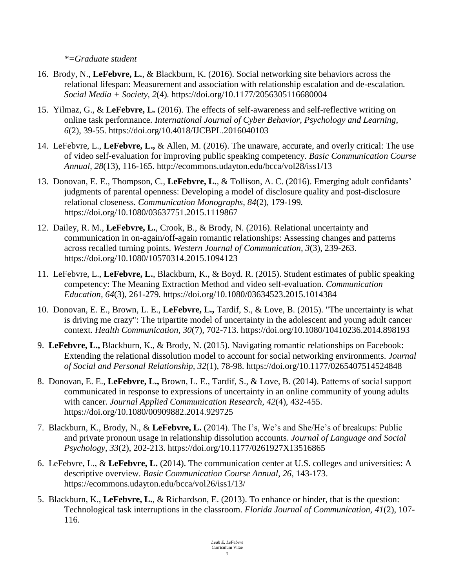*\*=Graduate student*

- 16. Brody, N., **LeFebvre, L.**, & Blackburn, K. (2016). Social networking site behaviors across the relational lifespan: Measurement and association with relationship escalation and de-escalation*. Social Media + Society, 2*(4)*.* [https://doi.org/10.1177/2056305116680004](https://doi.org/10.1177%2F2056305116680004)
- 15. Yilmaz, G., & **LeFebvre, L.** (2016). The effects of self-awareness and self-reflective writing on online task performance. *International Journal of Cyber Behavior, Psychology and Learning*, *6*(2), 39-55. https://doi.org/10.4018/IJCBPL.2016040103
- 14. LeFebvre, L., **LeFebvre, L.,** & Allen, M. (2016). The unaware, accurate, and overly critical: The use of video self-evaluation for improving public speaking competency. *Basic Communication Course Annual, 28*(13)*,* 116-165. http://ecommons.udayton.edu/bcca/vol28/iss1/13
- 13. Donovan, E. E., Thompson, C., **LeFebvre, L.**, & Tollison, A. C. (2016). Emerging adult confidants' judgments of parental openness: Developing a model of disclosure quality and post-disclosure relational closeness. *Communication Monographs, 84*(2)*,* 179-199*.* <https://doi.org/10.1080/03637751.2015.1119867>
- 12. Dailey, R. M., **LeFebvre, L.**, Crook, B., & Brody, N. (2016). Relational uncertainty and communication in on-again/off-again romantic relationships: Assessing changes and patterns across recalled turning points. *Western Journal of Communication, 3*(3)*,* 239-263. <https://doi.org/10.1080/10570314.2015.1094123>
- 11. LeFebvre, L., **LeFebvre, L.**, Blackburn, K., & Boyd. R. (2015). Student estimates of public speaking competency: The Meaning Extraction Method and video self-evaluation. *Communication Education, 64*(3)*,* 261-279*.* <https://doi.org/10.1080/03634523.2015.1014384>
- 10. Donovan, E. E., Brown, L. E., **LeFebvre, L.,** Tardif, S., & Love, B. (2015). "The uncertainty is what is driving me crazy": The tripartite model of uncertainty in the adolescent and young adult cancer context. *Health Communication, 30*(7)*,* 702-713.<https://doi.org/10.1080/10410236.2014.898193>
- 9. **LeFebvre, L.,** Blackburn, K., & Brody, N. (2015). Navigating romantic relationships on Facebook: Extending the relational dissolution model to account for social networking environments. *Journal of Social and Personal Relationship, 32*(1)*,* 78-98. [https://doi.org/10.1177/0265407514524848](https://doi.org/10.1177%2F0265407514524848)
- 8. Donovan, E. E., **LeFebvre, L.,** Brown, L. E., Tardif, S., & Love, B. (2014). Patterns of social support communicated in response to expressions of uncertainty in an online community of young adults with cancer. *Journal Applied Communication Research, 42*(4)*,* 432-455. https://doi.org/10.1080/00909882.2014.929725
- 7. Blackburn, K., Brody, N., & **LeFebvre, L.** (2014). The I's, We's and She/He's of breakups: Public and private pronoun usage in relationship dissolution accounts. *Journal of Language and Social Psychology, 33*(2), 202-213. [https://doi.org/10.1177/0261927X13516865](https://psycnet.apa.org/doi/10.1177/0261927X13516865)
- 6. LeFebvre, L., & **LeFebvre, L.** (2014). The communication center at U.S. colleges and universities: A descriptive overview. *Basic Communication Course Annual, 26,* 143-173. <https://ecommons.udayton.edu/bcca/vol26/iss1/13/>
- 5. Blackburn, K., **LeFebvre, L.**, & Richardson, E. (2013). To enhance or hinder, that is the question: Technological task interruptions in the classroom. *Florida Journal of Communication, 41*(2), 107- 116.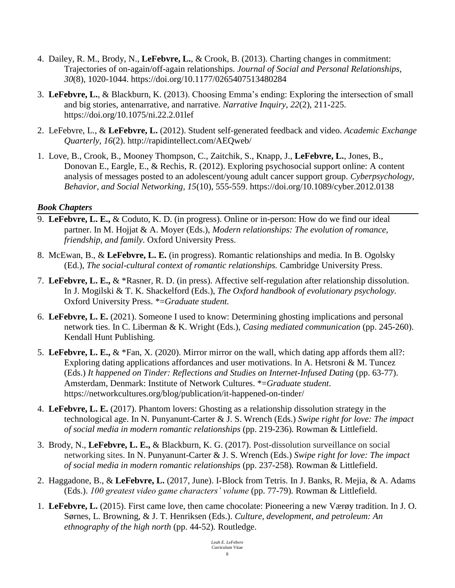- 4. Dailey, R. M., Brody, N., **LeFebvre, L.**, & Crook, B. (2013). Charting changes in commitment: Trajectories of on-again/off-again relationships. *Journal of Social and Personal Relationships, 30*(8), 1020-1044. [https://doi.org/10.1177/0265407513480284](https://psycnet.apa.org/doi/10.1177/0265407513480284)
- 3. **LeFebvre, L.**, & Blackburn, K. (2013). Choosing Emma's ending: Exploring the intersection of small and big stories, antenarrative, and narrative. *Narrative Inquiry*, *22*(2), 211-225. <https://doi.org/10.1075/ni.22.2.01lef>
- 2. LeFebvre, L., & **LeFebvre, L.** (2012). Student self-generated feedback and video. *Academic Exchange Quarterly, 16*(2). http://rapidintellect.com/AEQweb/
- 1. Love, B., Crook, B., Mooney Thompson, C., Zaitchik, S., Knapp, J., **LeFebvre, L.**, Jones, B., Donovan E., Eargle, E., & Rechis, R. (2012). Exploring psychosocial support online: A content analysis of messages posted to an adolescent/young adult cancer support group. *Cyberpsychology, Behavior, and Social Networking, 15*(10), 555-559. https://doi.org/10.1089/cyber.2012.0138

#### *Book Chapters*

- 9. **LeFebvre, L. E.,** & Coduto, K. D. (in progress). Online or in-person: How do we find our ideal partner. In M. Hojjat & A. Moyer (Eds.), *Modern relationships: The evolution of romance, friendship, and family*. Oxford University Press.
- 8. McEwan, B., & **LeFebvre, L. E.** (in progress). Romantic relationships and media. In B. Ogolsky (Ed.), *The social-cultural context of romantic relationships.* Cambridge University Press.
- 7. **LeFebvre, L. E.,** & \*Rasner, R. D. (in press). Affective self-regulation after relationship dissolution. In J. Mogilski & T. K. Shackelford (Eds.), *The Oxford handbook of evolutionary psychology.* Oxford University Press. \*=*Graduate student.*
- 6. **LeFebvre, L. E.** (2021). Someone I used to know: Determining ghosting implications and personal network ties. In C. Liberman & K. Wright (Eds.), *Casing mediated communication* (pp. 245-260). Kendall Hunt Publishing.
- 5. **LeFebvre, L. E.,** & \*Fan, X. (2020). Mirror mirror on the wall, which dating app affords them all?: Exploring dating applications affordances and user motivations. In A. Hetsroni & M. Tuncez (Eds.) *It happened on Tinder: Reflections and Studies on Internet-Infused Dating* (pp. 63-77). Amsterdam, Denmark: Institute of Network Cultures. \*=*Graduate student.* https://networkcultures.org/blog/publication/it-happened-on-tinder/
- 4. **LeFebvre, L. E.** (2017). Phantom lovers: Ghosting as a relationship dissolution strategy in the technological age. In N. Punyanunt-Carter & J. S. Wrench (Eds.) *Swipe right for love: The impact of social media in modern romantic relationships* (pp. 219-236)*.* Rowman & Littlefield.
- 3. Brody, N., **LeFebvre, L. E.,** & Blackburn, K. G. (2017). Post-dissolution surveillance on social networking sites. In N. Punyanunt-Carter & J. S. Wrench (Eds.) *Swipe right for love: The impact of social media in modern romantic relationships* (pp. 237-258)*.* Rowman & Littlefield.
- 2. Haggadone, B., & **LeFebvre, L.** (2017, June). I-Block from Tetris. In J. Banks, R. Mejia, & A. Adams (Eds.). *100 greatest video game characters' volume* (pp. 77-79)*.* Rowman & Littlefield.
- 1. **LeFebvre, L.** (2015). First came love, then came chocolate: Pioneering a new Værøy tradition. In J. O. Sørnes, L. Browning, & J. T. Henriksen (Eds.). *Culture, development, and petroleum: An ethnography of the high north* (pp. 44-52)*.* Routledge.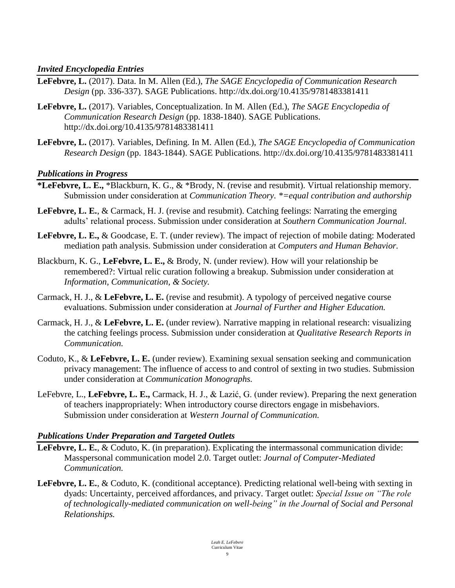#### *Invited Encyclopedia Entries*

- **LeFebvre, L.** (2017). Data. In M. Allen (Ed.), *The SAGE Encyclopedia of Communication Research Design* (pp. 336-337). SAGE Publications. http://dx.doi.org/10.4135/9781483381411
- **LeFebvre, L.** (2017). Variables, Conceptualization. In M. Allen (Ed.), *The SAGE Encyclopedia of Communication Research Design* (pp. 1838-1840). SAGE Publications. <http://dx.doi.org/10.4135/9781483381411>
- **LeFebvre, L.** (2017). Variables, Defining. In M. Allen (Ed.), *The SAGE Encyclopedia of Communication Research Design* (pp. 1843-1844). SAGE Publications. http://dx.doi.org/10.4135/9781483381411

#### *Publications in Progress*

- **\*LeFebvre, L. E.,** \*Blackburn, K. G., & \*Brody, N. (revise and resubmit). Virtual relationship memory. Submission under consideration at *Communication Theory. \*=equal contribution and authorship*
- **LeFebvre, L. E.**, & Carmack, H. J. (revise and resubmit). Catching feelings: Narrating the emerging adults' relational process. Submission under consideration at *Southern Communication Journal.*
- **LeFebvre, L. E.,** & Goodcase, E. T. (under review). The impact of rejection of mobile dating: Moderated mediation path analysis. Submission under consideration at *Computers and Human Behavior.*
- Blackburn, K. G., **LeFebvre, L. E.,** & Brody, N. (under review). How will your relationship be remembered?: Virtual relic curation following a breakup. Submission under consideration at *Information, Communication, & Society.*
- Carmack, H. J., & **LeFebvre, L. E.** (revise and resubmit). A typology of perceived negative course evaluations. Submission under consideration at *Journal of Further and Higher Education.*
- Carmack, H. J., & **LeFebvre, L. E.** (under review). Narrative mapping in relational research: visualizing the catching feelings process. Submission under consideration at *Qualitative Research Reports in Communication.*
- Coduto, K., & **LeFebvre, L. E.** (under review). Examining sexual sensation seeking and communication privacy management: The influence of access to and control of sexting in two studies. Submission under consideration at *Communication Monographs.*
- LeFebvre, L., **LeFebvre, L. E.,** Carmack, H. J., & Lazić, G. (under review). Preparing the next generation of teachers inappropriately: When introductory course directors engage in misbehaviors. Submission under consideration at *Western Journal of Communication.*

#### *Publications Under Preparation and Targeted Outlets*

- **LeFebvre, L. E.**, & Coduto, K. (in preparation). Explicating the intermassonal communication divide: Masspersonal communication model 2.0. Target outlet: *Journal of Computer-Mediated Communication.*
- **LeFebvre, L. E.**, & Coduto, K. (conditional acceptance). Predicting relational well-being with sexting in dyads: Uncertainty, perceived affordances, and privacy. Target outlet: *Special Issue on "The role of technologically-mediated communication on well-being" in the Journal of Social and Personal Relationships.*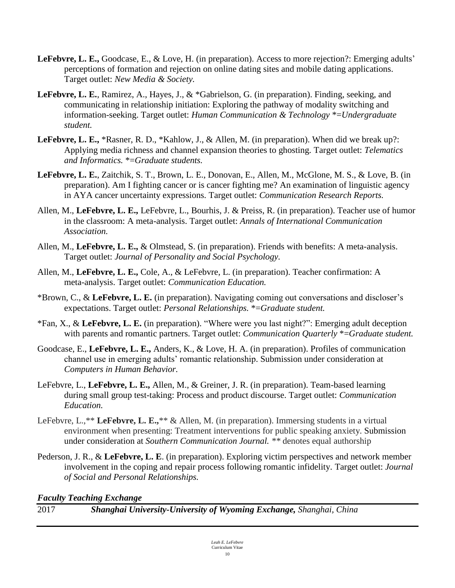- **LeFebvre, L. E.,** Goodcase, E., & Love, H. (in preparation). Access to more rejection?: Emerging adults' perceptions of formation and rejection on online dating sites and mobile dating applications. Target outlet: *New Media & Society.*
- **LeFebvre, L. E.**, Ramirez, A., Hayes, J., & \*Gabrielson, G. (in preparation). Finding, seeking, and communicating in relationship initiation: Exploring the pathway of modality switching and information-seeking. Target outlet: *Human Communication & Technology* \*=*Undergraduate student.*
- **LeFebvre, L. E.,** \*Rasner, R. D., \*Kahlow, J., & Allen, M. (in preparation). When did we break up?: Applying media richness and channel expansion theories to ghosting*.* Target outlet: *Telematics and Informatics.* \*=*Graduate students.*
- **LeFebvre, L. E.**, Zaitchik, S. T., Brown, L. E., Donovan, E., Allen, M., McGlone, M. S., & Love, B. (in preparation). Am I fighting cancer or is cancer fighting me? An examination of linguistic agency in AYA cancer uncertainty expressions*.* Target outlet: *Communication Research Reports.*
- Allen, M., **LeFebvre, L. E.,** LeFebvre, L., Bourhis, J. & Preiss, R. (in preparation). Teacher use of humor in the classroom: A meta-analysis. Target outlet: *Annals of International Communication Association.*
- Allen, M., **LeFebvre, L. E.,** & Olmstead, S. (in preparation). Friends with benefits: A meta-analysis. Target outlet: *Journal of Personality and Social Psychology.*
- Allen, M., **LeFebvre, L. E.,** Cole, A., & LeFebvre, L. (in preparation). Teacher confirmation: A meta-analysis. Target outlet: *Communication Education.*
- \*Brown, C., & **LeFebvre, L. E.** (in preparation). Navigating coming out conversations and discloser's expectations. Target outlet: *Personal Relationships.* \*=*Graduate student.*
- \*Fan, X., & **LeFebvre, L. E.** (in preparation). "Where were you last night?": Emerging adult deception with parents and romantic partners. Target outlet: *Communication Quarterly* \*=*Graduate student.*
- Goodcase, E., **LeFebvre, L. E.,** Anders, K., & Love, H. A. (in preparation). Profiles of communication channel use in emerging adults' romantic relationship. Submission under consideration at *Computers in Human Behavior.*
- LeFebvre, L., **LeFebvre, L. E.,** Allen, M., & Greiner, J. R. (in preparation). Team-based learning during small group test-taking: Process and product discourse. Target outlet: *Communication Education.*
- LeFebvre, L.,\*\* **LeFebvre, L. E.,**\*\* & Allen, M. (in preparation). Immersing students in a virtual environment when presenting: Treatment interventions for public speaking anxiety. Submission under consideration at *Southern Communication Journal. \*\** denotes equal authorship
- Pederson, J. R., & **LeFebvre, L. E**. (in preparation). Exploring victim perspectives and network member involvement in the coping and repair process following romantic infidelity. Target outlet: *Journal of Social and Personal Relationships.*

*Faculty Teaching Exchange*

2017 *Shanghai University-University of Wyoming Exchange, Shanghai, China*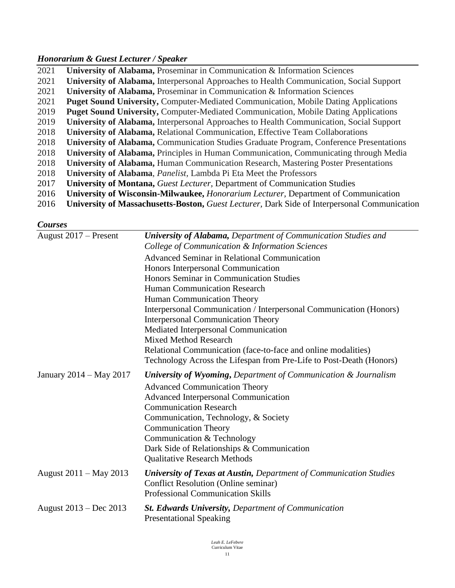## *Honorarium & Guest Lecturer / Speaker*

| 2021 | University of Alabama, Proseminar in Communication & Information Sciences                           |
|------|-----------------------------------------------------------------------------------------------------|
| 2021 | <b>University of Alabama, Interpersonal Approaches to Health Communication, Social Support</b>      |
| 2021 | University of Alabama, Proseminar in Communication & Information Sciences                           |
| 2021 | <b>Puget Sound University, Computer-Mediated Communication, Mobile Dating Applications</b>          |
| 2019 | <b>Puget Sound University, Computer-Mediated Communication, Mobile Dating Applications</b>          |
| 2019 | University of Alabama, Interpersonal Approaches to Health Communication, Social Support             |
| 2018 | <b>University of Alabama, Relational Communication, Effective Team Collaborations</b>               |
| 2018 | <b>University of Alabama, Communication Studies Graduate Program, Conference Presentations</b>      |
| 2018 | <b>University of Alabama, Principles in Human Communication, Communicating through Media</b>        |
| 2018 | <b>University of Alabama, Human Communication Research, Mastering Poster Presentations</b>          |
| 2018 | University of Alabama, <i>Panelist</i> , Lambda Pi Eta Meet the Professors                          |
| 2017 | <b>University of Montana, <i>Guest Lecturer</i></b> , Department of Communication Studies           |
| 2016 | University of Wisconsin-Milwaukee, <i>Honorarium Lecturer</i> , Department of Communication         |
| 2016 | <b>University of Massachusetts-Boston, Guest Lecturer, Dark Side of Interpersonal Communication</b> |

*Courses*

| August $2017$ – Present | <b>University of Alabama, Department of Communication Studies and</b>                                                                                                |
|-------------------------|----------------------------------------------------------------------------------------------------------------------------------------------------------------------|
|                         | College of Communication & Information Sciences                                                                                                                      |
|                         | <b>Advanced Seminar in Relational Communication</b>                                                                                                                  |
|                         | Honors Interpersonal Communication                                                                                                                                   |
|                         | Honors Seminar in Communication Studies                                                                                                                              |
|                         | <b>Human Communication Research</b>                                                                                                                                  |
|                         | Human Communication Theory                                                                                                                                           |
|                         | Interpersonal Communication / Interpersonal Communication (Honors)                                                                                                   |
|                         | <b>Interpersonal Communication Theory</b>                                                                                                                            |
|                         | Mediated Interpersonal Communication                                                                                                                                 |
|                         | <b>Mixed Method Research</b>                                                                                                                                         |
|                         | Relational Communication (face-to-face and online modalities)                                                                                                        |
|                         | Technology Across the Lifespan from Pre-Life to Post-Death (Honors)                                                                                                  |
| January 2014 – May 2017 | <b>University of Wyoming, Department of Communication &amp; Journalism</b><br><b>Advanced Communication Theory</b><br><b>Advanced Interpersonal Communication</b>    |
|                         | <b>Communication Research</b>                                                                                                                                        |
|                         | Communication, Technology, & Society                                                                                                                                 |
|                         | <b>Communication Theory</b>                                                                                                                                          |
|                         | Communication & Technology                                                                                                                                           |
|                         | Dark Side of Relationships & Communication                                                                                                                           |
|                         | <b>Qualitative Research Methods</b>                                                                                                                                  |
| August 2011 – May 2013  | <b>University of Texas at Austin, Department of Communication Studies</b><br><b>Conflict Resolution (Online seminar)</b><br><b>Professional Communication Skills</b> |
| August 2013 – Dec 2013  | <b>St. Edwards University, Department of Communication</b><br><b>Presentational Speaking</b>                                                                         |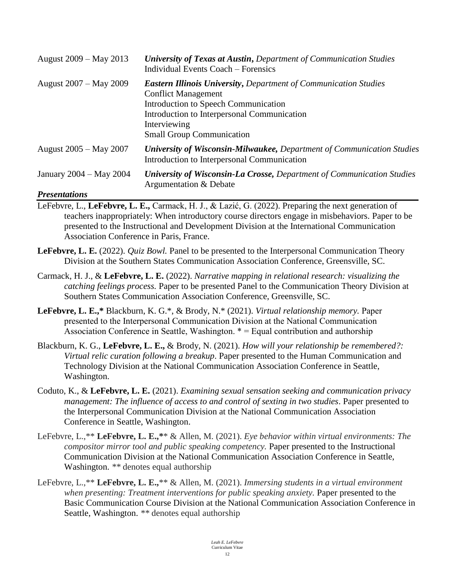| August 2009 – May 2013        | <b>University of Texas at Austin, Department of Communication Studies</b><br><b>Individual Events Coach – Forensics</b>                                                                                                                          |
|-------------------------------|--------------------------------------------------------------------------------------------------------------------------------------------------------------------------------------------------------------------------------------------------|
| August 2007 – May 2009        | <b>Eastern Illinois University, Department of Communication Studies</b><br><b>Conflict Management</b><br>Introduction to Speech Communication<br>Introduction to Interpersonal Communication<br>Interviewing<br><b>Small Group Communication</b> |
| August 2005 – May 2007        | <b>University of Wisconsin-Milwaukee, Department of Communication Studies</b><br>Introduction to Interpersonal Communication                                                                                                                     |
| January 2004 – May 2004       | <b>University of Wisconsin-La Crosse, Department of Communication Studies</b><br>Argumentation & Debate                                                                                                                                          |
| $D_{max}$ and $\mu$ and $\mu$ |                                                                                                                                                                                                                                                  |

#### *Presentations*

- LeFebvre, L., **LeFebvre, L. E.,** Carmack, H. J., & Lazić, G. (2022). Preparing the next generation of teachers inappropriately: When introductory course directors engage in misbehaviors. Paper to be presented to the Instructional and Development Division at the International Communication Association Conference in Paris, France.
- **LeFebvre, L. E.** (2022). *Quiz Bowl.* Panel to be presented to the Interpersonal Communication Theory Division at the Southern States Communication Association Conference, Greensville, SC.
- Carmack, H. J., & **LeFebvre, L. E.** (2022). *Narrative mapping in relational research: visualizing the catching feelings process.* Paper to be presented Panel to the Communication Theory Division at Southern States Communication Association Conference, Greensville, SC.
- **LeFebvre, L. E.,\*** Blackburn, K. G.\*, & Brody, N.\* (2021). *Virtual relationship memory.* Paper presented to the Interpersonal Communication Division at the National Communication Association Conference in Seattle, Washington. \* = Equal contribution and authorship
- Blackburn, K. G., **LeFebvre, L. E.,** & Brody, N. (2021). *How will your relationship be remembered?: Virtual relic curation following a breakup*. Paper presented to the Human Communication and Technology Division at the National Communication Association Conference in Seattle, Washington.
- Coduto, K., & **LeFebvre, L. E.** (2021). *Examining sexual sensation seeking and communication privacy management: The influence of access to and control of sexting in two studies*. Paper presented to the Interpersonal Communication Division at the National Communication Association Conference in Seattle, Washington.
- LeFebvre, L.,\*\* **LeFebvre, L. E.,\***\* & Allen, M. (2021). *Eye behavior within virtual environments: The compositor mirror tool and public speaking competency.* Paper presented to the Instructional Communication Division at the National Communication Association Conference in Seattle, Washington. *\*\** denotes equal authorship
- LeFebvre, L.,\*\* **LeFebvre, L. E.,**\*\* & Allen, M. (2021). *Immersing students in a virtual environment when presenting: Treatment interventions for public speaking anxiety.* Paper presented to the Basic Communication Course Division at the National Communication Association Conference in Seattle, Washington. *\*\** denotes equal authorship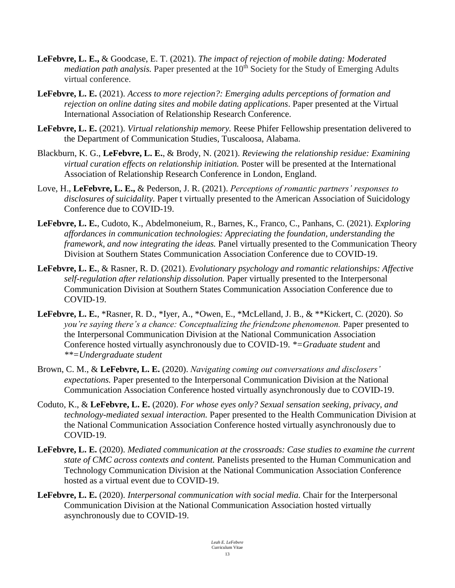- **LeFebvre, L. E.,** & Goodcase, E. T. (2021). *The impact of rejection of mobile dating: Moderated mediation path analysis.* Paper presented at the 10<sup>th</sup> Society for the Study of Emerging Adults virtual conference.
- **LeFebvre, L. E.** (2021). *Access to more rejection?: Emerging adults perceptions of formation and rejection on online dating sites and mobile dating applications*. Paper presented at the Virtual International Association of Relationship Research Conference.
- **LeFebvre, L. E.** (2021). *Virtual relationship memory.* Reese Phifer Fellowship presentation delivered to the Department of Communication Studies, Tuscaloosa, Alabama.
- Blackburn, K. G., **LeFebvre, L. E.**, & Brody, N. (2021). *Reviewing the relationship residue: Examining virtual curation effects on relationship initiation.* Poster will be presented at the International Association of Relationship Research Conference in London, England.
- Love, H., **LeFebvre, L. E.,** & Pederson, J. R. (2021). *Perceptions of romantic partners' responses to disclosures of suicidality.* Paper t virtually presented to the American Association of Suicidology Conference due to COVID-19.
- **LeFebvre, L. E.**, Cudoto, K., Abdelmoneium, R., Barnes, K., Franco, C., Panhans, C. (2021). *Exploring affordances in communication technologies: Appreciating the foundation, understanding the framework, and now integrating the ideas.* Panel virtually presented to the Communication Theory Division at Southern States Communication Association Conference due to COVID-19.
- **LeFebvre, L. E.**, & Rasner, R. D. (2021). *Evolutionary psychology and romantic relationships: Affective self-regulation after relationship dissolution.* Paper virtually presented to the Interpersonal Communication Division at Southern States Communication Association Conference due to COVID-19.
- **LeFebvre, L. E.**, \*Rasner, R. D., \*Iyer, A., \*Owen, E., \*McLelland, J. B., & \*\*Kickert, C. (2020). *So you're saying there's a chance: Conceptualizing the friendzone phenomenon.* Paper presented to the Interpersonal Communication Division at the National Communication Association Conference hosted virtually asynchronously due to COVID-19. *\*=Graduate student* and *\*\*=Undergraduate student*
- Brown, C. M., & **LeFebvre, L. E.** (2020). *Navigating coming out conversations and disclosers' expectations.* Paper presented to the Interpersonal Communication Division at the National Communication Association Conference hosted virtually asynchronously due to COVID-19.
- Coduto, K., & **LeFebvre, L. E.** (2020). *For whose eyes only? Sexual sensation seeking, privacy, and technology-mediated sexual interaction.* Paper presented to the Health Communication Division at the National Communication Association Conference hosted virtually asynchronously due to COVID-19.
- **LeFebvre, L. E.** (2020). *Mediated communication at the crossroads: Case studies to examine the current state of CMC across contexts and content.* Panelists presented to the Human Communication and Technology Communication Division at the National Communication Association Conference hosted as a virtual event due to COVID-19.
- **LeFebvre, L. E.** (2020). *Interpersonal communication with social media.* Chair for the Interpersonal Communication Division at the National Communication Association hosted virtually asynchronously due to COVID-19.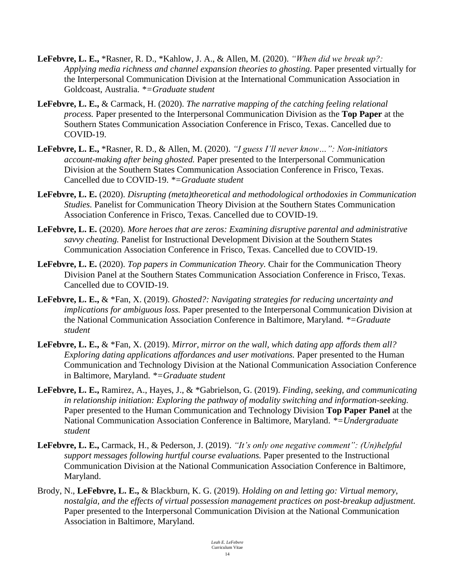- **LeFebvre, L. E.,** \*Rasner, R. D., \*Kahlow, J. A., & Allen, M. (2020). *"When did we break up?: Applying media richness and channel expansion theories to ghosting.* Paper presented virtually for the Interpersonal Communication Division at the International Communication Association in Goldcoast, Australia. *\*=Graduate student*
- **LeFebvre, L. E.,** & Carmack, H. (2020). *The narrative mapping of the catching feeling relational process.* Paper presented to the Interpersonal Communication Division as the **Top Paper** at the Southern States Communication Association Conference in Frisco, Texas. Cancelled due to COVID-19.
- **LeFebvre, L. E.,** \*Rasner, R. D., & Allen, M. (2020). *"I guess I'll never know…": Non-initiators account-making after being ghosted.* Paper presented to the Interpersonal Communication Division at the Southern States Communication Association Conference in Frisco, Texas. Cancelled due to COVID-19. *\*=Graduate student*
- **LeFebvre, L. E.** (2020). *Disrupting (meta)theoretical and methodological orthodoxies in Communication Studies.* Panelist for Communication Theory Division at the Southern States Communication Association Conference in Frisco, Texas. Cancelled due to COVID-19.
- **LeFebvre, L. E.** (2020). *More heroes that are zeros: Examining disruptive parental and administrative savvy cheating.* Panelist for Instructional Development Division at the Southern States Communication Association Conference in Frisco, Texas. Cancelled due to COVID-19.
- **LeFebvre, L. E.** (2020). *Top papers in Communication Theory.* Chair for the Communication Theory Division Panel at the Southern States Communication Association Conference in Frisco, Texas. Cancelled due to COVID-19.
- **LeFebvre, L. E.,** & \*Fan, X. (2019). *Ghosted?: Navigating strategies for reducing uncertainty and implications for ambiguous loss.* Paper presented to the Interpersonal Communication Division at the National Communication Association Conference in Baltimore, Maryland. *\*=Graduate student*
- **LeFebvre, L. E.,** & \*Fan, X. (2019). *Mirror, mirror on the wall, which dating app affords them all? Exploring dating applications affordances and user motivations.* Paper presented to the Human Communication and Technology Division at the National Communication Association Conference in Baltimore, Maryland. *\*=Graduate student*
- **LeFebvre, L. E.,** Ramirez, A., Hayes, J., & \*Gabrielson, G. (2019). *Finding, seeking, and communicating in relationship initiation: Exploring the pathway of modality switching and information-seeking.*  Paper presented to the Human Communication and Technology Division **Top Paper Panel** at the National Communication Association Conference in Baltimore, Maryland. *\*=Undergraduate student*
- **LeFebvre, L. E.,** Carmack, H., & Pederson, J. (2019). *"It's only one negative comment": (Un)helpful support messages following hurtful course evaluations.* Paper presented to the Instructional Communication Division at the National Communication Association Conference in Baltimore, Maryland.
- Brody, N., **LeFebvre, L. E.,** & Blackburn, K. G. (2019). *Holding on and letting go: Virtual memory, nostalgia, and the effects of virtual possession management practices on post-breakup adjustment.* Paper presented to the Interpersonal Communication Division at the National Communication Association in Baltimore, Maryland.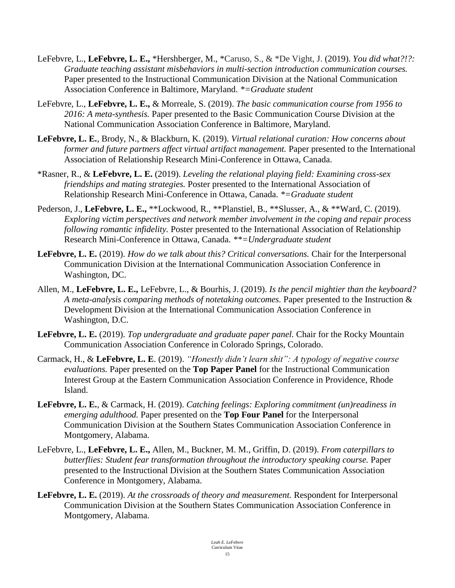- LeFebvre, L., **LeFebvre, L. E.,** \*Hershberger, M., \*Caruso, S., & \*De Vight, J. (2019). *You did what?!?: Graduate teaching assistant misbehaviors in multi-section introduction communication courses.* Paper presented to the Instructional Communication Division at the National Communication Association Conference in Baltimore, Maryland. *\*=Graduate student*
- LeFebvre, L., **LeFebvre, L. E.,** & Morreale, S. (2019). *The basic communication course from 1956 to 2016: A meta-synthesis.* Paper presented to the Basic Communication Course Division at the National Communication Association Conference in Baltimore, Maryland.
- **LeFebvre, L. E.**, Brody, N., & Blackburn, K. (2019). *Virtual relational curation: How concerns about former and future partners affect virtual artifact management.* Paper presented to the International Association of Relationship Research Mini-Conference in Ottawa, Canada.
- \*Rasner, R., & **LeFebvre, L. E.** (2019). *Leveling the relational playing field: Examining cross-sex friendships and mating strategies.* Poster presented to the International Association of Relationship Research Mini-Conference in Ottawa, Canada. *\*=Graduate student*
- Pederson, J., **LeFebvre, L. E.,** \*\*Lockwood, R., \*\*Planstiel, B., \*\*Slusser, A., & \*\*Ward, C. (2019). *Exploring victim perspectives and network member involvement in the coping and repair process following romantic infidelity.* Poster presented to the International Association of Relationship Research Mini-Conference in Ottawa, Canada. *\*\*=Undergraduate student*
- **LeFebvre, L. E.** (2019). *How do we talk about this? Critical conversations.* Chair for the Interpersonal Communication Division at the International Communication Association Conference in Washington, DC.
- Allen, M., **LeFebvre, L. E.,** LeFebvre, L., & Bourhis, J. (2019). *Is the pencil mightier than the keyboard? A meta-analysis comparing methods of notetaking outcomes.* Paper presented to the Instruction & Development Division at the International Communication Association Conference in Washington, D.C.
- **LeFebvre, L. E.** (2019). *Top undergraduate and graduate paper panel.* Chair for the Rocky Mountain Communication Association Conference in Colorado Springs, Colorado.
- Carmack, H., & **LeFebvre, L. E**. (2019). *"Honestly didn't learn shit": A typology of negative course evaluations.* Paper presented on the **Top Paper Panel** for the Instructional Communication Interest Group at the Eastern Communication Association Conference in Providence, Rhode Island.
- **LeFebvre, L. E.**, & Carmack, H. (2019). *Catching feelings: Exploring commitment (un)readiness in emerging adulthood.* Paper presented on the **Top Four Panel** for the Interpersonal Communication Division at the Southern States Communication Association Conference in Montgomery, Alabama.
- LeFebvre, L., **LeFebvre, L. E.,** Allen, M., Buckner, M. M., Griffin, D. (2019). *From caterpillars to butterflies: Student fear transformation throughout the introductory speaking course.* Paper presented to the Instructional Division at the Southern States Communication Association Conference in Montgomery, Alabama.
- **LeFebvre, L. E.** (2019). *At the crossroads of theory and measurement.* Respondent for Interpersonal Communication Division at the Southern States Communication Association Conference in Montgomery, Alabama.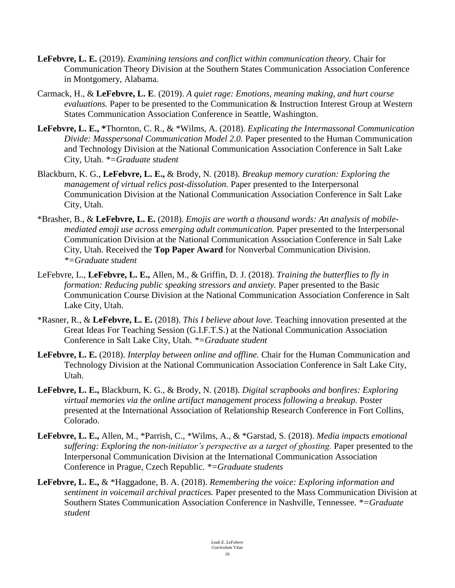- **LeFebvre, L. E.** (2019). *Examining tensions and conflict within communication theory.* Chair for Communication Theory Division at the Southern States Communication Association Conference in Montgomery, Alabama.
- Carmack, H., & **LeFebvre, L. E**. (2019). *A quiet rage: Emotions, meaning making, and hurt course evaluations.* Paper to be presented to the Communication & Instruction Interest Group at Western States Communication Association Conference in Seattle, Washington.
- **LeFebvre, L. E., \***Thornton, C. R., & \*Wilms, A. (2018). *Explicating the Intermassonal Communication Divide: Masspersonal Communication Model 2.0.* Paper presented to the Human Communication and Technology Division at the National Communication Association Conference in Salt Lake City, Utah. *\*=Graduate student*
- Blackburn, K. G., **LeFebvre, L. E.,** & Brody, N. (2018). *Breakup memory curation: Exploring the management of virtual relics post-dissolution.* Paper presented to the Interpersonal Communication Division at the National Communication Association Conference in Salt Lake City, Utah.
- \*Brasher, B., & **LeFebvre, L. E.** (2018). *Emojis are worth a thousand words: An analysis of mobilemediated emoji use across emerging adult communication.* Paper presented to the Interpersonal Communication Division at the National Communication Association Conference in Salt Lake City, Utah. Received the **Top Paper Award** for Nonverbal Communication Division. *\*=Graduate student*
- LeFebvre, L., **LeFebvre, L. E.,** Allen, M., & Griffin, D. J. (2018). *Training the butterflies to fly in formation: Reducing public speaking stressors and anxiety.* Paper presented to the Basic Communication Course Division at the National Communication Association Conference in Salt Lake City, Utah.
- \*Rasner, R., & **LeFebvre, L. E.** (2018). *This I believe about love.* Teaching innovation presented at the Great Ideas For Teaching Session (G.I.F.T.S.) at the National Communication Association Conference in Salt Lake City, Utah. *\*=Graduate student*
- **LeFebvre, L. E.** (2018). *Interplay between online and offline.* Chair for the Human Communication and Technology Division at the National Communication Association Conference in Salt Lake City, Utah.
- **LeFebvre, L. E.,** Blackburn, K. G., & Brody, N. (2018). *Digital scrapbooks and bonfires: Exploring virtual memories via the online artifact management process following a breakup.* Poster presented at the International Association of Relationship Research Conference in Fort Collins, Colorado.
- **LeFebvre, L. E.,** Allen, M., \*Parrish, C., \*Wilms, A., & \*Garstad, S. (2018). *Media impacts emotional suffering: Exploring the non-initiator's perspective as a target of ghosting.* Paper presented to the Interpersonal Communication Division at the International Communication Association Conference in Prague, Czech Republic. *\*=Graduate students*
- **LeFebvre, L. E.,** & \*Haggadone, B. A. (2018). *Remembering the voice: Exploring information and sentiment in voicemail archival practices.* Paper presented to the Mass Communication Division at Southern States Communication Association Conference in Nashville, Tennessee. *\*=Graduate student*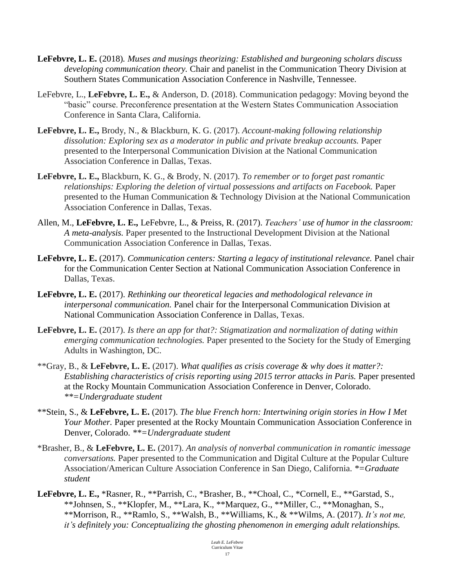- **LeFebvre, L. E.** (2018)*. Muses and musings theorizing: Established and burgeoning scholars discuss developing communication theory.* Chair and panelist in the Communication Theory Division at Southern States Communication Association Conference in Nashville, Tennessee.
- LeFebvre, L., **LeFebvre, L. E.,** & Anderson, D. (2018). Communication pedagogy: Moving beyond the "basic" course. Preconference presentation at the Western States Communication Association Conference in Santa Clara, California.
- **LeFebvre, L. E.,** Brody, N., & Blackburn, K. G. (2017). *Account-making following relationship*  dissolution: Exploring sex as a moderator in public and private breakup accounts. Paper presented to the Interpersonal Communication Division at the National Communication Association Conference in Dallas, Texas.
- **LeFebvre, L. E.,** Blackburn, K. G., & Brody, N. (2017). *To remember or to forget past romantic relationships: Exploring the deletion of virtual possessions and artifacts on Facebook.* Paper presented to the Human Communication & Technology Division at the National Communication Association Conference in Dallas, Texas.
- Allen, M., **LeFebvre, L. E.,** LeFebvre, L., & Preiss, R. (2017). *Teachers' use of humor in the classroom: A meta-analysis.* Paper presented to the Instructional Development Division at the National Communication Association Conference in Dallas, Texas.
- **LeFebvre, L. E.** (2017). *Communication centers: Starting a legacy of institutional relevance.* Panel chair for the Communication Center Section at National Communication Association Conference in Dallas, Texas.
- **LeFebvre, L. E.** (2017). *Rethinking our theoretical legacies and methodological relevance in interpersonal communication.* Panel chair for the Interpersonal Communication Division at National Communication Association Conference in Dallas, Texas.
- **LeFebvre, L. E.** (2017). *Is there an app for that?: Stigmatization and normalization of dating within emerging communication technologies.* Paper presented to the Society for the Study of Emerging Adults in Washington, DC.
- \*\*Gray, B., & **LeFebvre, L. E.** (2017). *What qualifies as crisis coverage & why does it matter?: Establishing characteristics of crisis reporting using 2015 terror attacks in Paris.* Paper presented at the Rocky Mountain Communication Association Conference in Denver, Colorado. *\*\*=Undergraduate student*
- \*\*Stein, S., & **LeFebvre, L. E.** (2017). *The blue French horn: Intertwining origin stories in How I Met Your Mother.* Paper presented at the Rocky Mountain Communication Association Conference in Denver, Colorado. *\*\*=Undergraduate student*
- \*Brasher, B., & **LeFebvre, L. E.** (2017). *An analysis of nonverbal communication in romantic imessage conversations.* Paper presented to the Communication and Digital Culture at the Popular Culture Association/American Culture Association Conference in San Diego, California. *\*=Graduate student*
- **LeFebvre, L. E.,** \*Rasner, R., \*\*Parrish, C., \*Brasher, B., \*\*Choal, C., \*Cornell, E., \*\*Garstad, S., \*\*Johnsen, S., \*\*Klopfer, M., \*\*Lara, K., \*\*Marquez, G., \*\*Miller, C., \*\*Monaghan, S., \*\*Morrison, R., \*\*Ramlo, S., \*\*Walsh, B., \*\*Williams, K., & \*\*Wilms, A. (2017). *It's not me, it's definitely you: Conceptualizing the ghosting phenomenon in emerging adult relationships.*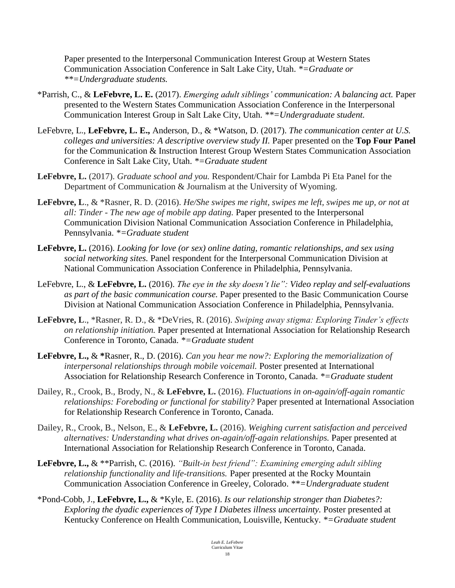Paper presented to the Interpersonal Communication Interest Group at Western States Communication Association Conference in Salt Lake City, Utah. *\*=Graduate or \*\*=Undergraduate students.*

- \*Parrish, C., & **LeFebvre, L. E.** (2017). *Emerging adult siblings' communication: A balancing act.* Paper presented to the Western States Communication Association Conference in the Interpersonal Communication Interest Group in Salt Lake City, Utah. *\*\*=Undergraduate student.*
- LeFebvre, L., **LeFebvre, L. E.,** Anderson, D., & \*Watson, D. (2017). *The communication center at U.S. colleges and universities: A descriptive overview study II. Paper presented on the Top Four Panel* for the Communication & Instruction Interest Group Western States Communication Association Conference in Salt Lake City, Utah. *\*=Graduate student*
- **LeFebvre, L.** (2017). *Graduate school and you.* Respondent/Chair for Lambda Pi Eta Panel for the Department of Communication & Journalism at the University of Wyoming.
- **LeFebvre, L**., & \*Rasner, R. D. (2016). *He/She swipes me right, swipes me left, swipes me up, or not at all: Tinder - The new age of mobile app dating.* Paper presented to the Interpersonal Communication Division National Communication Association Conference in Philadelphia, Pennsylvania. *\*=Graduate student*
- **LeFebvre, L.** (2016). *Looking for love (or sex) online dating, romantic relationships, and sex using social networking sites.* Panel respondent for the Interpersonal Communication Division at National Communication Association Conference in Philadelphia, Pennsylvania.
- LeFebvre, L., & **LeFebvre, L.** (2016). *The eye in the sky doesn't lie": Video replay and self-evaluations as part of the basic communication course.* Paper presented to the Basic Communication Course Division at National Communication Association Conference in Philadelphia, Pennsylvania.
- **LeFebvre, L**., \*Rasner, R. D., & \*DeVries, R. (2016). *Swiping away stigma: Exploring Tinder's effects on relationship initiation.* Paper presented at International Association for Relationship Research Conference in Toronto, Canada. *\*=Graduate student*
- **LeFebvre, L.,** & **\***Rasner, R., D. (2016). *Can you hear me now?: Exploring the memorialization of interpersonal relationships through mobile voicemail.* Poster presented at International Association for Relationship Research Conference in Toronto, Canada. *\*=Graduate student*
- Dailey, R., Crook, B., Brody, N., & **LeFebvre, L.** (2016). *Fluctuations in on-again/off-again romantic relationships: Foreboding or functional for stability?* Paper presented at International Association for Relationship Research Conference in Toronto, Canada.
- Dailey, R., Crook, B., Nelson, E., & **LeFebvre, L.** (2016). *Weighing current satisfaction and perceived alternatives: Understanding what drives on-again/off-again relationships.* Paper presented at International Association for Relationship Research Conference in Toronto, Canada.
- **LeFebvre, L.,** & \*\*Parrish, C. (2016). *"Built-in best friend": Examining emerging adult sibling relationship functionality and life-transitions.* Paper presented at the Rocky Mountain Communication Association Conference in Greeley, Colorado. *\*\*=Undergraduate student*
- \*Pond-Cobb, J., **LeFebvre, L.,** & \*Kyle, E. (2016). *Is our relationship stronger than Diabetes?: Exploring the dyadic experiences of Type I Diabetes illness uncertainty.* Poster presented at Kentucky Conference on Health Communication, Louisville, Kentucky. *\*=Graduate student*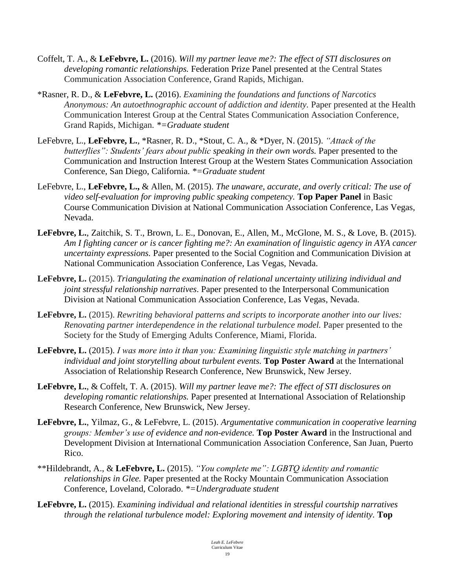- Coffelt, T. A., & **LeFebvre, L.** (2016). *Will my partner leave me?: The effect of STI disclosures on developing romantic relationships.* Federation Prize Panel presented at the Central States Communication Association Conference, Grand Rapids, Michigan.
- \*Rasner, R. D., & **LeFebvre, L.** (2016). *Examining the foundations and functions of Narcotics Anonymous: An autoethnographic account of addiction and identity.* Paper presented at the Health Communication Interest Group at the Central States Communication Association Conference, Grand Rapids, Michigan. *\*=Graduate student*
- LeFebvre, L., **LeFebvre, L.**, \*Rasner, R. D., \*Stout, C. A., & \*Dyer, N. (2015). *"Attack of the butterflies": Students' fears about public speaking in their own words.* Paper presented to the Communication and Instruction Interest Group at the Western States Communication Association Conference, San Diego, California. *\*=Graduate student*
- LeFebvre, L., **LeFebvre, L.,** & Allen, M. (2015). *The unaware, accurate, and overly critical: The use of video self-evaluation for improving public speaking competency.* **Top Paper Panel** in Basic Course Communication Division at National Communication Association Conference, Las Vegas, Nevada.
- **LeFebvre, L.**, Zaitchik, S. T., Brown, L. E., Donovan, E., Allen, M., McGlone, M. S., & Love, B. (2015). *Am I fighting cancer or is cancer fighting me?: An examination of linguistic agency in AYA cancer uncertainty expressions.* Paper presented to the Social Cognition and Communication Division at National Communication Association Conference, Las Vegas, Nevada.
- **LeFebvre, L.** (2015). *Triangulating the examination of relational uncertainty utilizing individual and joint stressful relationship narratives*. Paper presented to the Interpersonal Communication Division at National Communication Association Conference, Las Vegas, Nevada.
- **LeFebvre, L.** (2015). *Rewriting behavioral patterns and scripts to incorporate another into our lives: Renovating partner interdependence in the relational turbulence model.* Paper presented to the Society for the Study of Emerging Adults Conference, Miami, Florida.
- **LeFebvre, L.** (2015). *I was more into it than you: Examining linguistic style matching in partners' individual and joint storytelling about turbulent events.* **Top Poster Award** at the International Association of Relationship Research Conference, New Brunswick, New Jersey.
- **LeFebvre, L.**, & Coffelt, T. A. (2015). *Will my partner leave me?: The effect of STI disclosures on developing romantic relationships.* Paper presented at International Association of Relationship Research Conference, New Brunswick, New Jersey.
- **LeFebvre, L.**, Yilmaz, G., & LeFebvre, L. (2015). *Argumentative communication in cooperative learning groups: Member's use of evidence and non-evidence.* **Top Poster Award** in the Instructional and Development Division at International Communication Association Conference, San Juan, Puerto Rico.
- \*\*Hildebrandt, A., & **LeFebvre, L.** (2015). *"You complete me": LGBTQ identity and romantic relationships in Glee.* Paper presented at the Rocky Mountain Communication Association Conference, Loveland, Colorado. *\*=Undergraduate student*
- **LeFebvre, L.** (2015). *Examining individual and relational identities in stressful courtship narratives through the relational turbulence model: Exploring movement and intensity of identity.* **Top**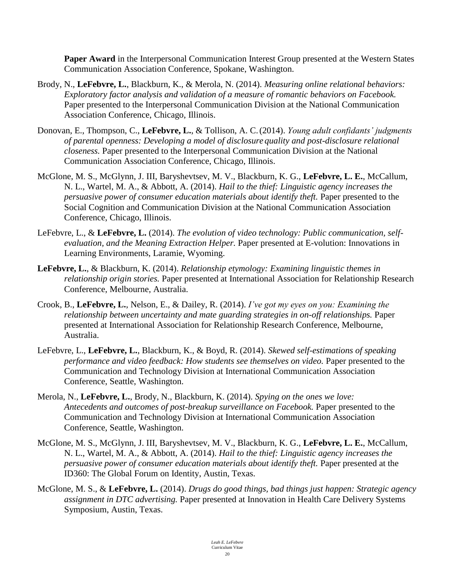**Paper Award** in the Interpersonal Communication Interest Group presented at the Western States Communication Association Conference, Spokane, Washington.

- Brody, N., **LeFebvre, L.**, Blackburn, K., & Merola, N. (2014). *Measuring online relational behaviors: Exploratory factor analysis and validation of a measure of romantic behaviors on Facebook.*  Paper presented to the Interpersonal Communication Division at the National Communication Association Conference, Chicago, Illinois.
- Donovan, E., Thompson, C., **LeFebvre, L.**, & Tollison, A. C.(2014). *Young adult confidants' judgments of parental openness: Developing a model of disclosure quality and post-disclosure relational closeness.* Paper presented to the Interpersonal Communication Division at the National Communication Association Conference, Chicago, Illinois.
- McGlone, M. S., McGlynn, J. III, Baryshevtsev, M. V., Blackburn, K. G., **LeFebvre, L. E.**, McCallum, N. L., Wartel, M. A., & Abbott, A. (2014). *Hail to the thief: Linguistic agency increases the persuasive power of consumer education materials about identify theft.* Paper presented to the Social Cognition and Communication Division at the National Communication Association Conference, Chicago, Illinois.
- LeFebvre, L., & **LeFebvre, L.** (2014). *The evolution of video technology: Public communication, selfevaluation, and the Meaning Extraction Helper.* Paper presented at E-volution: Innovations in Learning Environments, Laramie, Wyoming.
- **LeFebvre, L.**, & Blackburn, K. (2014). *Relationship etymology: Examining linguistic themes in relationship origin stories.* Paper presented at International Association for Relationship Research Conference, Melbourne, Australia.
- Crook, B., **LeFebvre, L.**, Nelson, E., & Dailey, R. (2014). *I've got my eyes on you: Examining the relationship between uncertainty and mate guarding strategies in on-off relationships.* Paper presented at International Association for Relationship Research Conference, Melbourne, Australia.
- LeFebvre, L., **LeFebvre, L.**, Blackburn, K., & Boyd, R. (2014). *Skewed self-estimations of speaking performance and video feedback: How students see themselves on video.* Paper presented to the Communication and Technology Division at International Communication Association Conference, Seattle, Washington.
- Merola, N., **LeFebvre, L.**, Brody, N., Blackburn, K. (2014). *Spying on the ones we love: Antecedents and outcomes of post-breakup surveillance on Facebook.* Paper presented to the Communication and Technology Division at International Communication Association Conference, Seattle, Washington.
- McGlone, M. S., McGlynn, J. III, Baryshevtsev, M. V., Blackburn, K. G., **LeFebvre, L. E.**, McCallum, N. L., Wartel, M. A., & Abbott, A. (2014). *Hail to the thief: Linguistic agency increases the persuasive power of consumer education materials about identify theft.* Paper presented at the ID360: The Global Forum on Identity, Austin, Texas.
- McGlone, M. S., & **LeFebvre, L.** (2014). *Drugs do good things, bad things just happen: Strategic agency assignment in DTC advertising.* Paper presented at Innovation in Health Care Delivery Systems Symposium, Austin, Texas.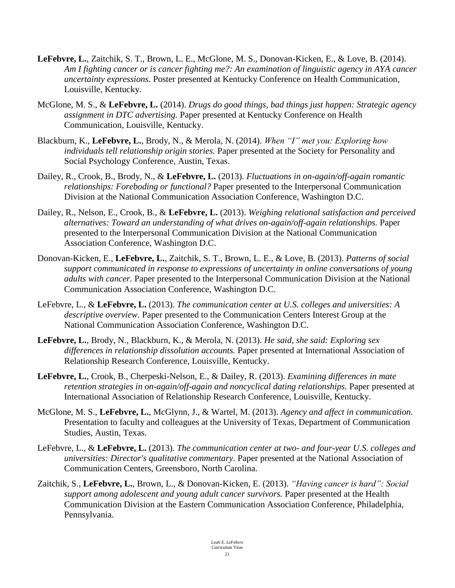- **LeFebvre, L.**, Zaitchik, S. T., Brown, L. E., McGlone, M. S., Donovan-Kicken, E., & Love, B. (2014). *Am I fighting cancer or is cancer fighting me?: An examination of linguistic agency in AYA cancer uncertainty expressions.* Poster presented at Kentucky Conference on Health Communication, Louisville, Kentucky.
- McGlone, M. S., & **LeFebvre, L.** (2014). *Drugs do good things, bad things just happen: Strategic agency assignment in DTC advertising.* Paper presented at Kentucky Conference on Health Communication, Louisville, Kentucky.
- Blackburn, K., **LeFebvre, L.**, Brody, N., & Merola, N. (2014). *When "I" met you: Exploring how individuals tell relationship origin stories.* Paper presented at the Society for Personality and Social Psychology Conference, Austin, Texas.
- Dailey, R., Crook, B., Brody, N., & **LeFebvre, L.** (2013). *Fluctuations in on-again/off-again romantic relationships: Foreboding or functional?* Paper presented to the Interpersonal Communication Division at the National Communication Association Conference, Washington D.C.
- Dailey, R., Nelson, E., Crook, B., & **LeFebvre, L.** (2013). *Weighing relational satisfaction and perceived alternatives: Toward an understanding of what drives on-again/off-again relationships.* Paper presented to the Interpersonal Communication Division at the National Communication Association Conference, Washington D.C.
- Donovan-Kicken, E., **LeFebvre, L.**, Zaitchik, S. T., Brown, L. E., & Love, B. (2013). *Patterns of social support communicated in response to expressions of uncertainty in online conversations of young adults with cancer.* Paper presented to the Interpersonal Communication Division at the National Communication Association Conference, Washington D.C.
- LeFebvre, L., & **LeFebvre, L.** (2013). *The communication center at U.S. colleges and universities: A descriptive overview.* Paper presented to the Communication Centers Interest Group at the National Communication Association Conference, Washington D.C.
- **LeFebvre, L.**, Brody, N., Blackburn, K., & Merola, N. (2013). *He said, she said: Exploring sex differences in relationship dissolution accounts.* Paper presented at International Association of Relationship Research Conference, Louisville, Kentucky.
- **LeFebvre, L.**, Crook, B., Cherpeski-Nelson, E., & Dailey, R. (2013). *Examining differences in mate retention strategies in on-again/off-again and noncyclical dating relationships.* Paper presented at International Association of Relationship Research Conference, Louisville, Kentucky.
- McGlone, M. S., **LeFebvre, L.**, McGlynn, J., & Wartel, M. (2013). *Agency and affect in communication.* Presentation to faculty and colleagues at the University of Texas, Department of Communication Studies, Austin, Texas.
- LeFebvre, L., & **LeFebvre, L.** (2013). *The communication center at two- and four-year U.S. colleges and universities: Director's qualitative commentary.* Paper presented at the National Association of Communication Centers, Greensboro, North Carolina.
- Zaitchik, S., **LeFebvre, L.**, Brown, L., & Donovan-Kicken, E. (2013). *"Having cancer is hard": Social support among adolescent and young adult cancer survivors.* Paper presented at the Health Communication Division at the Eastern Communication Association Conference, Philadelphia, Pennsylvania.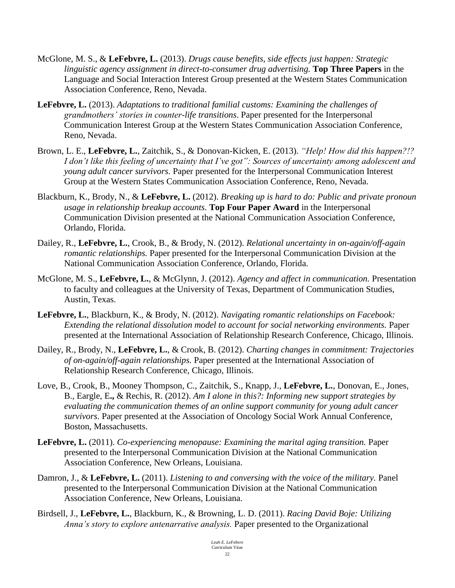- McGlone, M. S., & **LeFebvre, L.** (2013). *Drugs cause benefits, side effects just happen: Strategic linguistic agency assignment in direct-to-consumer drug advertising.* **Top Three Papers** in the Language and Social Interaction Interest Group presented at the Western States Communication Association Conference, Reno, Nevada.
- **LeFebvre, L.** (2013). *Adaptations to traditional familial customs: Examining the challenges of grandmothers' stories in counter-life transitions*. Paper presented for the Interpersonal Communication Interest Group at the Western States Communication Association Conference, Reno, Nevada.
- Brown, L. E., **LeFebvre, L.**, Zaitchik, S., & Donovan-Kicken, E. (2013). *"Help! How did this happen?!? I don't like this feeling of uncertainty that I've got": Sources of uncertainty among adolescent and young adult cancer survivors.* Paper presented for the Interpersonal Communication Interest Group at the Western States Communication Association Conference, Reno, Nevada.
- Blackburn, K., Brody, N., & **LeFebvre, L.** (2012). *Breaking up is hard to do: Public and private pronoun usage in relationship breakup accounts.* **Top Four Paper Award** in the Interpersonal Communication Division presented at the National Communication Association Conference, Orlando, Florida.
- Dailey, R., **LeFebvre, L.**, Crook, B., & Brody, N. (2012). *Relational uncertainty in on-again/off-again romantic relationships.* Paper presented for the Interpersonal Communication Division at the National Communication Association Conference, Orlando, Florida.
- McGlone, M. S., **LeFebvre, L.**, & McGlynn, J. (2012). *Agency and affect in communication.* Presentation to faculty and colleagues at the University of Texas, Department of Communication Studies, Austin, Texas.
- **LeFebvre, L.**, Blackburn, K., & Brody, N. (2012). *Navigating romantic relationships on Facebook: Extending the relational dissolution model to account for social networking environments.* Paper presented at the International Association of Relationship Research Conference, Chicago, Illinois.
- Dailey, R., Brody, N., **LeFebvre, L.**, & Crook, B. (2012). *Charting changes in commitment: Trajectories of on-again/off-again relationships.* Paper presented at the International Association of Relationship Research Conference, Chicago, Illinois.
- Love, B., Crook, B., Mooney Thompson, C., Zaitchik, S., Knapp, J., **LeFebvre, L.**, Donovan, E., Jones, B., Eargle, E**.,** & Rechis, R. (2012). *Am I alone in this?: Informing new support strategies by evaluating the communication themes of an online support community for young adult cancer survivors*. Paper presented at the Association of Oncology Social Work Annual Conference, Boston, Massachusetts.
- **LeFebvre, L.** (2011). *Co-experiencing menopause: Examining the marital aging transition.* Paper presented to the Interpersonal Communication Division at the National Communication Association Conference, New Orleans, Louisiana.
- Damron, J., & **LeFebvre, L.** (2011). *Listening to and conversing with the voice of the military.* Panel presented to the Interpersonal Communication Division at the National Communication Association Conference, New Orleans, Louisiana.
- Birdsell, J., **LeFebvre, L.**, Blackburn, K., & Browning, L. D. (2011). *Racing David Boje: Utilizing Anna's story to explore antenarrative analysis.* Paper presented to the Organizational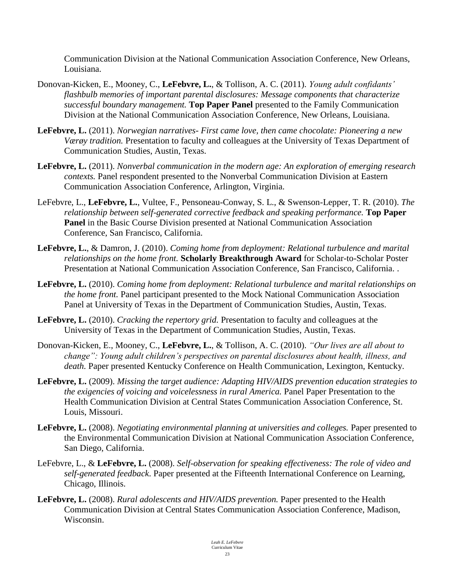Communication Division at the National Communication Association Conference, New Orleans, Louisiana.

- Donovan-Kicken, E., Mooney, C., **LeFebvre, L.**, & Tollison, A. C. (2011). *Young adult confidants' flashbulb memories of important parental disclosures: Message components that characterize successful boundary management.* **Top Paper Panel** presented to the Family Communication Division at the National Communication Association Conference, New Orleans, Louisiana.
- **LeFebvre, L.** (2011). *Norwegian narratives- First came love, then came chocolate: Pioneering a new Værøy tradition.* Presentation to faculty and colleagues at the University of Texas Department of Communication Studies, Austin, Texas.
- **LeFebvre, L.** (2011). *Nonverbal communication in the modern age: An exploration of emerging research contexts.* Panel respondent presented to the Nonverbal Communication Division at Eastern Communication Association Conference, Arlington, Virginia.
- LeFebvre, L., **LeFebvre, L.**, Vultee, F., Pensoneau-Conway, S. L., & Swenson-Lepper, T. R. (2010). *The relationship between self-generated corrective feedback and speaking performance.* **Top Paper Panel** in the Basic Course Division presented at National Communication Association Conference, San Francisco, California.
- **LeFebvre, L.**, & Damron, J. (2010). *Coming home from deployment: Relational turbulence and marital relationships on the home front.* **Scholarly Breakthrough Award** for Scholar-to-Scholar Poster Presentation at National Communication Association Conference, San Francisco, California. .
- **LeFebvre, L.** (2010). *Coming home from deployment: Relational turbulence and marital relationships on the home front.* Panel participant presented to the Mock National Communication Association Panel at University of Texas in the Department of Communication Studies, Austin, Texas.
- **LeFebvre, L.** (2010). *Cracking the repertory grid.* Presentation to faculty and colleagues at the University of Texas in the Department of Communication Studies, Austin, Texas.
- Donovan-Kicken, E., Mooney, C., **LeFebvre, L.**, & Tollison, A. C. (2010). *"Our lives are all about to change": Young adult children's perspectives on parental disclosures about health, illness, and death.* Paper presented Kentucky Conference on Health Communication, Lexington, Kentucky.
- **LeFebvre, L.** (2009). *Missing the target audience: Adapting HIV/AIDS prevention education strategies to the exigencies of voicing and voicelessness in rural America.* Panel Paper Presentation to the Health Communication Division at Central States Communication Association Conference, St. Louis, Missouri.
- **LeFebvre, L.** (2008). *Negotiating environmental planning at universities and colleges.* Paper presented to the Environmental Communication Division at National Communication Association Conference, San Diego, California.
- LeFebvre, L., & **LeFebvre, L.** (2008). *Self-observation for speaking effectiveness: The role of video and self-generated feedback*. Paper presented at the Fifteenth International Conference on Learning, Chicago, Illinois.
- **LeFebvre, L.** (2008). *Rural adolescents and HIV/AIDS prevention.* Paper presented to the Health Communication Division at Central States Communication Association Conference, Madison, Wisconsin.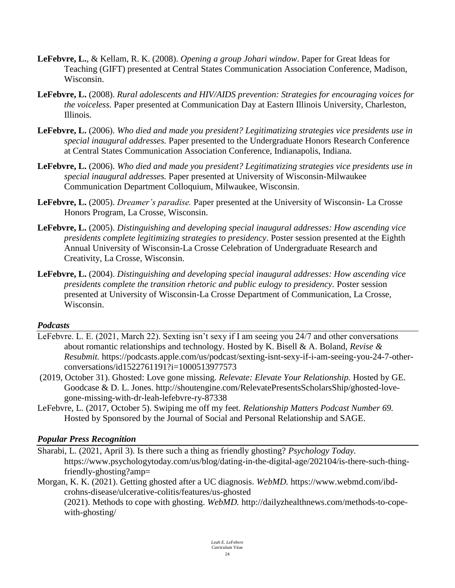- **LeFebvre, L.**, & Kellam, R. K. (2008). *Opening a group Johari window*. Paper for Great Ideas for Teaching (GIFT) presented at Central States Communication Association Conference, Madison, Wisconsin.
- **LeFebvre, L.** (2008). *Rural adolescents and HIV/AIDS prevention: Strategies for encouraging voices for the voiceless.* Paper presented at Communication Day at Eastern Illinois University, Charleston, Illinois.
- **LeFebvre, L.** (2006). *Who died and made you president? Legitimatizing strategies vice presidents use in special inaugural addresses.* Paper presented to the Undergraduate Honors Research Conference at Central States Communication Association Conference, Indianapolis, Indiana.
- **LeFebvre, L.** (2006). *Who died and made you president? Legitimatizing strategies vice presidents use in special inaugural addresses.* Paper presented at University of Wisconsin-Milwaukee Communication Department Colloquium, Milwaukee, Wisconsin.
- **LeFebvre, L.** (2005). *Dreamer's paradise.* Paper presented at the University of Wisconsin- La Crosse Honors Program, La Crosse, Wisconsin.
- **LeFebvre, L.** (2005). *Distinguishing and developing special inaugural addresses: How ascending vice presidents complete legitimizing strategies to presidency*. Poster session presented at the Eighth Annual University of Wisconsin-La Crosse Celebration of Undergraduate Research and Creativity, La Crosse, Wisconsin.
- **LeFebvre, L.** (2004). *Distinguishing and developing special inaugural addresses: How ascending vice presidents complete the transition rhetoric and public eulogy to presidency.* Poster session presented at University of Wisconsin-La Crosse Department of Communication, La Crosse, Wisconsin.

#### *Podcasts*

- LeFebvre. L. E. (2021, March 22). Sexting isn't sexy if I am seeing you 24/7 and other conversations about romantic relationships and technology. Hosted by K. Bisell & A. Boland, *Revise & Resubmit.* https://podcasts.apple.com/us/podcast/sexting-isnt-sexy-if-i-am-seeing-you-24-7-otherconversations/id1522761191?i=1000513977573
- (2019, October 31). Ghosted: Love gone missing. *Relevate: Elevate Your Relationship.* Hosted by GE. Goodcase & D. L. Jones. http://shoutengine.com/RelevatePresentsScholarsShip/ghosted-lovegone-missing-with-dr-leah-lefebvre-ry-87338
- LeFebvre, L. (2017, October 5). Swiping me off my feet. *Relationship Matters Podcast Number 69.* Hosted by Sponsored by the Journal of Social and Personal Relationship and SAGE.

#### *Popular Press Recognition*

- Sharabi, L. (2021, April 3). Is there such a thing as friendly ghosting? *Psychology Today.* https://www.psychologytoday.com/us/blog/dating-in-the-digital-age/202104/is-there-such-thingfriendly-ghosting?amp=
- Morgan, K. K. (2021). Getting ghosted after a UC diagnosis. *WebMD.* https://www.webmd.com/ibdcrohns-disease/ulcerative-colitis/features/us-ghosted (2021). Methods to cope with ghosting. *WebMD.* http://dailyzhealthnews.com/methods-to-copewith-ghosting/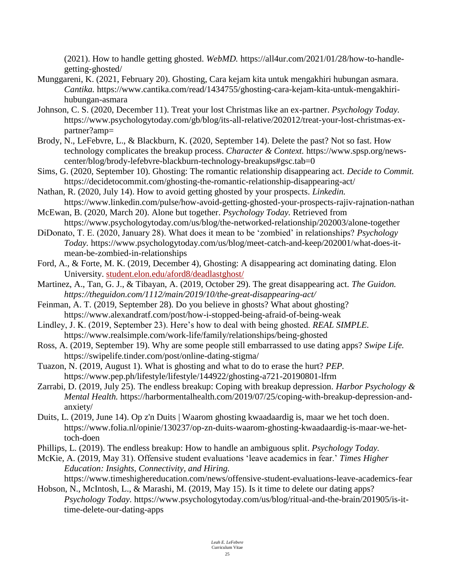(2021). How to handle getting ghosted. *WebMD.* https://all4ur.com/2021/01/28/how-to-handlegetting-ghosted/

- Munggareni, K. (2021, February 20). Ghosting, Cara kejam kita untuk mengakhiri hubungan asmara. *Cantika.* https://www.cantika.com/read/1434755/ghosting-cara-kejam-kita-untuk-mengakhirihubungan-asmara
- Johnson, C. S. (2020, December 11). Treat your lost Christmas like an ex-partner. *Psychology Today.* https://www.psychologytoday.com/gb/blog/its-all-relative/202012/treat-your-lost-christmas-expartner?amp=
- Brody, N., LeFebvre, L., & Blackburn, K. (2020, September 14). Delete the past? Not so fast. How technology complicates the breakup process. *Character & Context.* https://www.spsp.org/newscenter/blog/brody-lefebvre-blackburn-technology-breakups#gsc.tab=0
- Sims, G. (2020, September 10). Ghosting: The romantic relationship disappearing act. *Decide to Commit.*  https://decidetocommit.com/ghosting-the-romantic-relationship-disappearing-act/
- Nathan, R. (2020, July 14). How to avoid getting ghosted by your prospects. *Linkedin.* https://www.linkedin.com/pulse/how-avoid-getting-ghosted-your-prospects-rajiv-rajnation-nathan
- McEwan, B. (2020, March 20). Alone but together. *Psychology Today.* Retrieved from https://www.psychologytoday.com/us/blog/the-networked-relationship/202003/alone-together
- DiDonato, T. E. (2020, January 28). What does it mean to be 'zombied' in relationships? *Psychology Today.* https://www.psychologytoday.com/us/blog/meet-catch-and-keep/202001/what-does-itmean-be-zombied-in-relationships
- Ford, A., & Forte, M. K. (2019, December 4), Ghosting: A disappearing act dominating dating. Elon University. student.elon.edu/aford8/deadlastghost/
- Martinez, A., Tan, G. J., & Tibayan, A. (2019, October 29). The great disappearing act. *The Guidon. https://theguidon.com/1112/main/2019/10/the-great-disappearing-act/*
- Feinman, A. T. (2019, September 28). Do you believe in ghosts? What about ghosting? https://www.alexandratf.com/post/how-i-stopped-being-afraid-of-being-weak
- Lindley, J. K. (2019, September 23). Here's how to deal with being ghosted. *REAL SIMPLE.* https://www.realsimple.com/work-life/family/relationships/being-ghosted
- Ross, A. (2019, September 19). Why are some people still embarrassed to use dating apps? *Swipe Life.* https://swipelife.tinder.com/post/online-dating-stigma/
- Tuazon, N. (2019, August 1). What is ghosting and what to do to erase the hurt? *PEP.* https://www.pep.ph/lifestyle/lifestyle/144922/ghosting-a721-20190801-lfrm
- Zarrabi, D. (2019, July 25). The endless breakup: Coping with breakup depression. *Harbor Psychology & Mental Health.* https://harbormentalhealth.com/2019/07/25/coping-with-breakup-depression-andanxiety/
- Duits, L. (2019, June 14). Op z'n Duits | Waarom ghosting kwaadaardig is, maar we het toch doen. https://www.folia.nl/opinie/130237/op-zn-duits-waarom-ghosting-kwaadaardig-is-maar-we-hettoch-doen
- Phillips, L. (2019). The endless breakup: How to handle an ambiguous split. *Psychology Today.*
- McKie, A. (2019, May 31). Offensive student evaluations 'leave academics in fear.' *Times Higher Education: Insights, Connectivity, and Hiring.*

https://www.timeshighereducation.com/news/offensive-student-evaluations-leave-academics-fear Hobson, N., McIntosh, L., & Marashi, M. (2019, May 15). Is it time to delete our dating apps?

*Psychology Today.* https://www.psychologytoday.com/us/blog/ritual-and-the-brain/201905/is-ittime-delete-our-dating-apps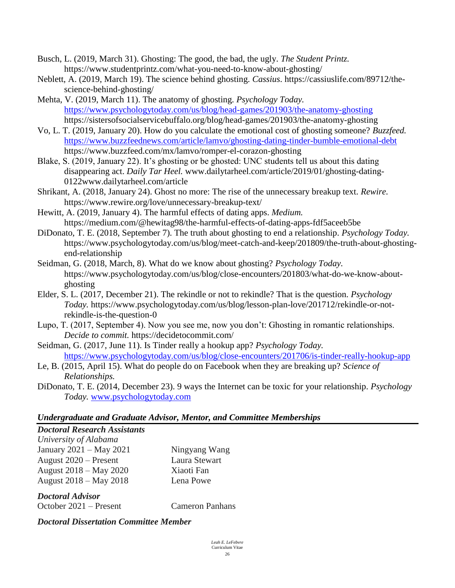- Busch, L. (2019, March 31). Ghosting: The good, the bad, the ugly. *The Student Printz.*  https://www.studentprintz.com/what-you-need-to-know-about-ghosting/
- Neblett, A. (2019, March 19). The science behind ghosting. *Cassius*. https://cassiuslife.com/89712/thescience-behind-ghosting/
- Mehta, V. (2019, March 11). The anatomy of ghosting. *Psychology Today.* <https://www.psychologytoday.com/us/blog/head-games/201903/the-anatomy-ghosting> https://sistersofsocialservicebuffalo.org/blog/head-games/201903/the-anatomy-ghosting
- Vo, L. T. (2019, January 20). How do you calculate the emotional cost of ghosting someone? *Buzzfeed.*  <https://www.buzzfeednews.com/article/lamvo/ghosting-dating-tinder-bumble-emotional-debt> https://www.buzzfeed.com/mx/lamvo/romper-el-corazon-ghosting
- Blake, S. (2019, January 22). It's ghosting or be ghosted: UNC students tell us about this dating disappearing act. *Daily Tar Heel.* www.dailytarheel.com/article/2019/01/ghosting-dating-0122www.dailytarheel.com/article
- Shrikant, A. (2018, January 24). Ghost no more: The rise of the unnecessary breakup text. *Rewire.* https://www.rewire.org/love/unnecessary-breakup-text/
- Hewitt, A. (2019, January 4). The harmful effects of dating apps. *Medium.* https://medium.com/@hewitag98/the-harmful-effects-of-dating-apps-fdf5aceeb5be
- DiDonato, T. E. (2018, September 7). The truth about ghosting to end a relationship. *Psychology Today.* https://www.psychologytoday.com/us/blog/meet-catch-and-keep/201809/the-truth-about-ghostingend-relationship
- Seidman, G. (2018, March, 8). What do we know about ghosting? *Psychology Today.* https://www.psychologytoday.com/us/blog/close-encounters/201803/what-do-we-know-aboutghosting
- Elder, S. L. (2017, December 21). The rekindle or not to rekindle? That is the question. *Psychology Today.* https://www.psychologytoday.com/us/blog/lesson-plan-love/201712/rekindle-or-notrekindle-is-the-question-0
- Lupo, T. (2017, September 4). Now you see me, now you don't: Ghosting in romantic relationships. *Decide to commit.* https://decidetocommit.com/
- Seidman, G. (2017, June 11). Is Tinder really a hookup app? *Psychology Today.* <https://www.psychologytoday.com/us/blog/close-encounters/201706/is-tinder-really-hookup-app>
- Le, B. (2015, April 15). What do people do on Facebook when they are breaking up? *Science of Relationships.*
- DiDonato, T. E. (2014, December 23). 9 ways the Internet can be toxic for your relationship. *Psychology Today.* [www.psychologytoday.com](http://www.psychologytoday.com/)

#### *Undergraduate and Graduate Advisor, Mentor, and Committee Memberships*

#### *Doctoral Research Assistants University of Alabama*

| <i>University of Thubunu</i> |               |
|------------------------------|---------------|
| January 2021 – May 2021      | Ningyang Wang |
| August $2020$ – Present      | Laura Stewart |
| August 2018 – May 2020       | Xiaoti Fan    |
| August 2018 – May 2018       | Lena Powe     |

*Doctoral Advisor* October 2021 – Present Cameron Panhans

*Doctoral Dissertation Committee Member*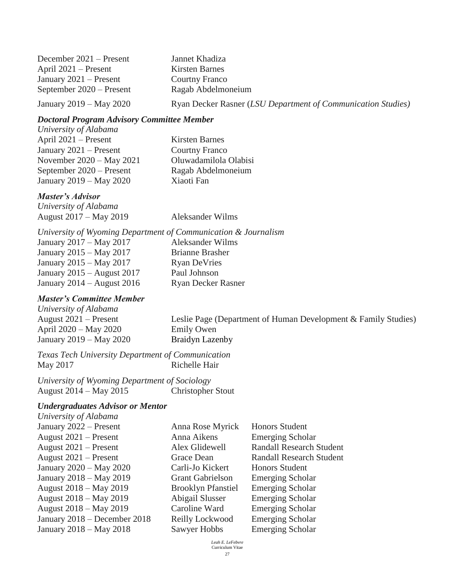| December $2021$ – Present | Jannet Khadiza                                               |
|---------------------------|--------------------------------------------------------------|
| April $2021$ – Present    | Kirsten Barnes                                               |
| January $2021 -$ Present  | <b>Courtny Franco</b>                                        |
| September 2020 – Present  | Ragab Abdelmoneium                                           |
| January 2019 – May 2020   | Ryan Decker Rasner (LSU Department of Communication Studies) |

#### *Doctoral Program Advisory Committee Member*

| University of Alabama    |
|--------------------------|
| April 2021 – Present     |
| January 2021 – Present   |
| November 2020 – May 2021 |
| September 2020 – Present |
| January 2019 – May 2020  |

*Master's Advisor*

*University of Alabama* August 2017 – May 2019 Aleksander Wilms

Kirsten Barnes Courtny Franco

Xiaoti Fan

Oluwadamilola Olabisi Ragab Abdelmoneium

*University of Wyoming Department of Communication & Journalism* January 2017 – May 2017 Aleksander Wilms January 2015 – May 2017 Brianne Brasher January 2015 – May 2017 Ryan DeVries January 2015 – August 2017 Paul Johnson January 2014 – August 2016 Ryan Decker Rasner

#### *Master's Committee Member*

*University of Alabama* April 2020 – May 2020 Emily Owen January 2019 – May 2020 Braidyn Lazenby

August 2021 – Present Leslie Page (Department of Human Development & Family Studies)

*Texas Tech University Department of Communication* May 2017 Richelle Hair

*University of Wyoming Department of Sociology* August 2014 – May 2015 Christopher Stout

#### *Undergraduates Advisor or Mentor*

*University of Alabama* 

January 2022 – Present Anna Rose Myrick Honors Student August 2021 – Present Anna Aikens Emerging Scholar August 2021 – Present Alex Glidewell Randall Research Student August 2021 – Present Grace Dean Randall Research Student January 2020 – May 2020 Carli-Jo Kickert Honors Student January 2018 – May 2019 Grant Gabrielson Emerging Scholar August 2018 – May 2019 Brooklyn Pfanstiel Emerging Scholar August 2018 – May 2019 Abigail Slusser Emerging Scholar August 2018 – May 2019 Caroline Ward Emerging Scholar January 2018 – December 2018 Reilly Lockwood Emerging Scholar January 2018 – May 2018 Sawyer Hobbs Emerging Scholar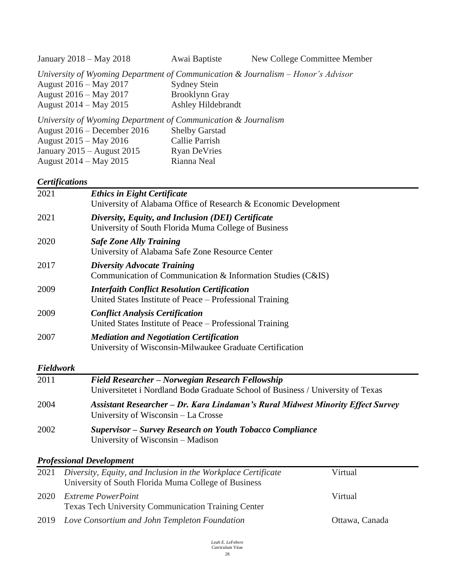January 2018 – May 2018 Awai Baptiste New College Committee Member

*University of Wyoming Department of Communication & Journalism – Honor's Advisor*

| August 2016 – May 2017                                      | <b>Sydney Stein</b> |
|-------------------------------------------------------------|---------------------|
| August 2016 – May 2017                                      | Brooklynn Gray      |
| August 2014 – May 2015                                      | Ashley Hildebrandt  |
| University of Wyoming Department of Communication & Journal |                     |

*University of Wyoming Department of Communication & Journalism* August 2016 – December 2016 Shelby Garstad August 2015 – May 2016 Callie Parrish January 2015 – August 2015 Ryan DeVries August 2014 – May 2015 Rianna Neal

#### *Certifications*

| 2021             | <b>Ethics in Eight Certificate</b><br>University of Alabama Office of Research & Economic Development                               |
|------------------|-------------------------------------------------------------------------------------------------------------------------------------|
| 2021             | Diversity, Equity, and Inclusion (DEI) Certificate<br>University of South Florida Muma College of Business                          |
| 2020             | <b>Safe Zone Ally Training</b><br>University of Alabama Safe Zone Resource Center                                                   |
| 2017             | <b>Diversity Advocate Training</b><br>Communication of Communication & Information Studies (C&IS)                                   |
| 2009             | <b>Interfaith Conflict Resolution Certification</b><br>United States Institute of Peace – Professional Training                     |
| 2009             | <b>Conflict Analysis Certification</b><br>United States Institute of Peace – Professional Training                                  |
| 2007             | <b>Mediation and Negotiation Certification</b><br>University of Wisconsin-Milwaukee Graduate Certification                          |
| <b>Fieldwork</b> |                                                                                                                                     |
| 2011             | Field Researcher – Norwegian Research Fellowship<br>Universitetet i Nordland Bodø Graduate School of Business / University of Texas |
| 2004             | Assistant Researcher – Dr. Kara Lindaman's Rural Midwest Minority Effect Survey<br>University of Wisconsin – La Crosse              |
| 2002             | <b>Supervisor – Survey Research on Youth Tobacco Compliance</b><br>University of Wisconsin – Madison                                |

#### *Professional Development*

| 2021 | Diversity, Equity, and Inclusion in the Workplace Certificate<br>University of South Florida Muma College of Business | Virtual        |
|------|-----------------------------------------------------------------------------------------------------------------------|----------------|
| 2020 | <b>Extreme PowerPoint</b><br><b>Texas Tech University Communication Training Center</b>                               | Virtual        |
| 2019 | Love Consortium and John Templeton Foundation                                                                         | Ottawa, Canada |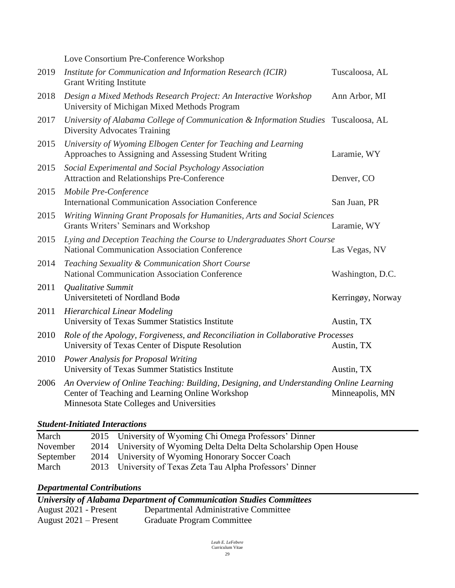Love Consortium Pre-Conference Workshop

| 2019 | Institute for Communication and Information Research (ICIR)<br><b>Grant Writing Institute</b>                                                                                          | Tuscaloosa, AL    |
|------|----------------------------------------------------------------------------------------------------------------------------------------------------------------------------------------|-------------------|
| 2018 | Design a Mixed Methods Research Project: An Interactive Workshop<br>University of Michigan Mixed Methods Program                                                                       | Ann Arbor, MI     |
| 2017 | University of Alabama College of Communication & Information Studies Tuscaloosa, AL<br><b>Diversity Advocates Training</b>                                                             |                   |
| 2015 | University of Wyoming Elbogen Center for Teaching and Learning<br>Approaches to Assigning and Assessing Student Writing                                                                | Laramie, WY       |
| 2015 | Social Experimental and Social Psychology Association<br>Attraction and Relationships Pre-Conference                                                                                   | Denver, CO        |
| 2015 | Mobile Pre-Conference<br><b>International Communication Association Conference</b>                                                                                                     | San Juan, PR      |
| 2015 | Writing Winning Grant Proposals for Humanities, Arts and Social Sciences<br>Grants Writers' Seminars and Workshop                                                                      | Laramie, WY       |
| 2015 | Lying and Deception Teaching the Course to Undergraduates Short Course<br><b>National Communication Association Conference</b>                                                         | Las Vegas, NV     |
| 2014 | Teaching Sexuality & Communication Short Course<br><b>National Communication Association Conference</b>                                                                                | Washington, D.C.  |
| 2011 | Qualitative Summit<br>Universiteteti of Nordland Bodø                                                                                                                                  | Kerringøy, Norway |
| 2011 | <b>Hierarchical Linear Modeling</b><br>University of Texas Summer Statistics Institute                                                                                                 | Austin, TX        |
| 2010 | Role of the Apology, Forgiveness, and Reconciliation in Collaborative Processes<br>University of Texas Center of Dispute Resolution                                                    | Austin, TX        |
| 2010 | Power Analysis for Proposal Writing<br>University of Texas Summer Statistics Institute                                                                                                 | Austin, TX        |
| 2006 | An Overview of Online Teaching: Building, Designing, and Understanding Online Learning<br>Center of Teaching and Learning Online Workshop<br>Minnesota State Colleges and Universities | Minneapolis, MN   |

#### *Student-Initiated Interactions*

| March     | 2015 University of Wyoming Chi Omega Professors' Dinner             |
|-----------|---------------------------------------------------------------------|
| November  | 2014 University of Wyoming Delta Delta Delta Scholarship Open House |
| September | 2014 University of Wyoming Honorary Soccer Coach                    |
| March     | 2013 University of Texas Zeta Tau Alpha Professors' Dinner          |

## *Departmental Contributions*

| University of Alabama Department of Communication Studies Committees |                                       |  |  |  |
|----------------------------------------------------------------------|---------------------------------------|--|--|--|
| August 2021 - Present                                                | Departmental Administrative Committee |  |  |  |
| August $2021$ – Present                                              | <b>Graduate Program Committee</b>     |  |  |  |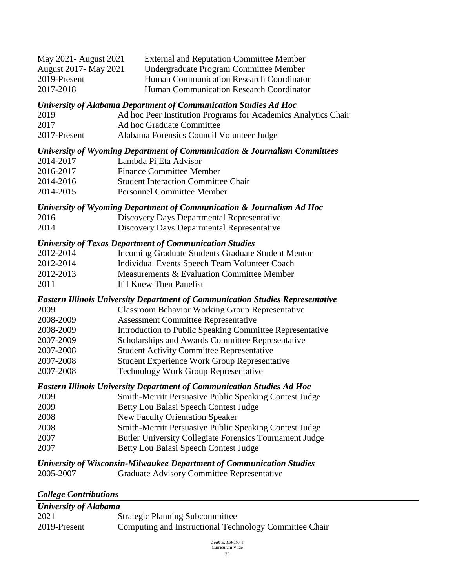| May 2021 - August 2021       | <b>External and Reputation Committee Member</b> |
|------------------------------|-------------------------------------------------|
| <b>August 2017- May 2021</b> | Undergraduate Program Committee Member          |
| 2019-Present                 | Human Communication Research Coordinator        |
| 2017-2018                    | Human Communication Research Coordinator        |

*University of Alabama Department of Communication Studies Ad Hoc* 

| 2019         | Ad hoc Peer Institution Programs for Academics Analytics Chair |
|--------------|----------------------------------------------------------------|
| 2017         | Ad hoc Graduate Committee                                      |
| 2017-Present | Alabama Forensics Council Volunteer Judge                      |

#### *University of Wyoming Department of Communication & Journalism Committees*

- 2014-2017 Lambda Pi Eta Advisor
- 2016-2017 Finance Committee Member
- 2014-2016 Student Interaction Committee Chair
- 2014-2015 Personnel Committee Member

## *University of Wyoming Department of Communication & Journalism Ad Hoc*

2016 Discovery Days Departmental Representative 2014 Discovery Days Departmental Representative

#### *University of Texas Department of Communication Studies*

- 2012-2014 Incoming Graduate Students Graduate Student Mentor
- 2012-2014 Individual Events Speech Team Volunteer Coach
- 2012-2013 Measurements & Evaluation Committee Member
- 2011 **If I Knew Then Panelist**

#### *Eastern Illinois University Department of Communication Studies Representative*

| 2009 |  |  | <b>Classroom Behavior Working Group Representative</b> |
|------|--|--|--------------------------------------------------------|

- 2008-2009 Assessment Committee Representative
- 2008-2009 Introduction to Public Speaking Committee Representative
- 2007-2009 Scholarships and Awards Committee Representative
- 2007-2008 Student Activity Committee Representative
- 2007-2008 Student Experience Work Group Representative
- 2007-2008 Technology Work Group Representative

## *Eastern Illinois University Department of Communication Studies Ad Hoc*

| 2009 | Smith-Merritt Persuasive Public Speaking Contest Judge         |
|------|----------------------------------------------------------------|
| 2009 | Betty Lou Balasi Speech Contest Judge                          |
| 2008 | <b>New Faculty Orientation Speaker</b>                         |
| 2008 | <b>Smith-Merritt Persuasive Public Speaking Contest Judge</b>  |
| 2007 | <b>Butler University Collegiate Forensics Tournament Judge</b> |
| 2007 | Betty Lou Balasi Speech Contest Judge                          |

#### *University of Wisconsin-Milwaukee Department of Communication Studies* 2005-2007 Graduate Advisory Committee Representative

#### *College Contributions*

| University of Alabama |                                                        |  |  |  |
|-----------------------|--------------------------------------------------------|--|--|--|
| 2021                  | <b>Strategic Planning Subcommittee</b>                 |  |  |  |
| 2019-Present          | Computing and Instructional Technology Committee Chair |  |  |  |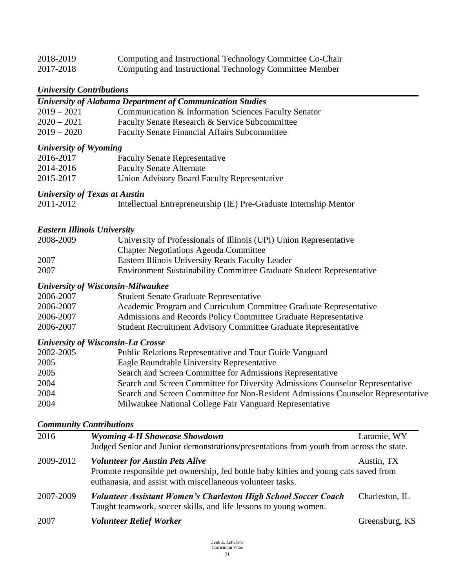| 2018-2019 | Computing and Instructional Technology Committee Co-Chair |
|-----------|-----------------------------------------------------------|
| 2017-2018 | Computing and Instructional Technology Committee Member   |

## *University Contributions*

| University Contributions     |                                                                                          |  |
|------------------------------|------------------------------------------------------------------------------------------|--|
|                              | <b>University of Alabama Department of Communication Studies</b>                         |  |
| $2019 - 2021$                | Communication & Information Sciences Faculty Senator                                     |  |
| $2020 - 2021$                | Faculty Senate Research & Service Subcommittee                                           |  |
| $2019 - 2020$                | <b>Faculty Senate Financial Affairs Subcommittee</b>                                     |  |
| <b>University of Wyoming</b> |                                                                                          |  |
| 2016-2017                    | <b>Faculty Senate Representative</b>                                                     |  |
| 2014-2016                    | <b>Faculty Senate Alternate</b>                                                          |  |
| 2015-2017                    | Union Advisory Board Faculty Representative                                              |  |
|                              | <b>University of Texas at Austin</b>                                                     |  |
| 2011-2012                    | Intellectual Entrepreneurship (IE) Pre-Graduate Internship Mentor                        |  |
|                              |                                                                                          |  |
|                              | <b>Eastern Illinois University</b>                                                       |  |
| 2008-2009                    | University of Professionals of Illinois (UPI) Union Representative                       |  |
|                              | <b>Chapter Negotiations Agenda Committee</b>                                             |  |
| 2007                         | Eastern Illinois University Reads Faculty Leader                                         |  |
| 2007                         | <b>Environment Sustainability Committee Graduate Student Representative</b>              |  |
|                              | <b>University of Wisconsin-Milwaukee</b>                                                 |  |
| 2006-2007                    | <b>Student Senate Graduate Representative</b>                                            |  |
| 2006-2007                    | Academic Program and Curriculum Committee Graduate Representative                        |  |
| 2006-2007                    | Admissions and Records Policy Committee Graduate Representative                          |  |
| 2006-2007                    | Student Recruitment Advisory Committee Graduate Representative                           |  |
|                              |                                                                                          |  |
|                              | <b>University of Wisconsin-La Crosse</b>                                                 |  |
| 2002-2005                    | Public Relations Representative and Tour Guide Vanguard                                  |  |
| 2005                         | Eagle Roundtable University Representative                                               |  |
| 2005                         | Search and Screen Committee for Admissions Representative                                |  |
| 2004                         | Search and Screen Committee for Diversity Admissions Counselor Representative            |  |
| 2004                         | Search and Screen Committee for Non-Resident Admissions Counselor Representative         |  |
| 2004                         | Milwaukee National College Fair Vanguard Representative                                  |  |
|                              | <b>Community Contributions</b>                                                           |  |
| 2016                         | <b>Wyoming 4-H Showcase Showdown</b><br>Laramie, WY                                      |  |
|                              | Judged Senior and Junior demonstrations/presentations from youth from across the state.  |  |
| 2009-2012                    | <b>Volunteer for Austin Pets Alive</b><br>Austin, TX                                     |  |
|                              | Promote responsible pet ownership, fed bottle baby kitties and young cats saved from     |  |
|                              | euthanasia, and assist with miscellaneous volunteer tasks.                               |  |
| 2007-2009                    | <b>Volunteer Assistant Women's Charleston High School Soccer Coach</b><br>Charleston, IL |  |
|                              | Taught teamwork, soccer skills, and life lessons to young women.                         |  |
|                              |                                                                                          |  |

2007 **Volunteer Relief Worker** Greensburg, KS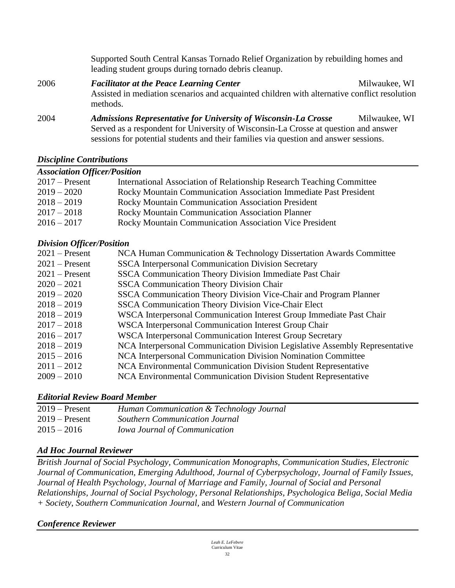Supported South Central Kansas Tornado Relief Organization by rebuilding homes and leading student groups during tornado debris cleanup.

2006 *Facilitator at the Peace Learning Center* Milwaukee, WI Assisted in mediation scenarios and acquainted children with alternative conflict resolution methods.

2004 *Admissions Representative for University of Wisconsin-La Crosse* Milwaukee, WI Served as a respondent for University of Wisconsin-La Crosse at question and answer sessions for potential students and their families via question and answer sessions.

#### *Discipline Contributions*

## *Association Officer/Position*

| $2017$ – Present | International Association of Relationship Research Teaching Committee |
|------------------|-----------------------------------------------------------------------|
| $2019 - 2020$    | Rocky Mountain Communication Association Immediate Past President     |
| $2018 - 2019$    | Rocky Mountain Communication Association President                    |
| $2017 - 2018$    | Rocky Mountain Communication Association Planner                      |
| $2016 - 2017$    | <b>Rocky Mountain Communication Association Vice President</b>        |

#### *Division Officer/Position*

| $2021$ – Present | NCA Human Communication & Technology Dissertation Awards Committee           |
|------------------|------------------------------------------------------------------------------|
| $2021$ – Present | <b>SSCA Interpersonal Communication Division Secretary</b>                   |
| $2021$ – Present | <b>SSCA Communication Theory Division Immediate Past Chair</b>               |
| $2020 - 2021$    | <b>SSCA Communication Theory Division Chair</b>                              |
| $2019 - 2020$    | SSCA Communication Theory Division Vice-Chair and Program Planner            |
| $2018 - 2019$    | SSCA Communication Theory Division Vice-Chair Elect                          |
| $2018 - 2019$    | WSCA Interpersonal Communication Interest Group Immediate Past Chair         |
| $2017 - 2018$    | WSCA Interpersonal Communication Interest Group Chair                        |
| $2016 - 2017$    | WSCA Interpersonal Communication Interest Group Secretary                    |
| $2018 - 2019$    | NCA Interpersonal Communication Division Legislative Assembly Representative |
| $2015 - 2016$    | NCA Interpersonal Communication Division Nomination Committee                |
| $2011 - 2012$    | NCA Environmental Communication Division Student Representative              |
| $2009 - 2010$    | NCA Environmental Communication Division Student Representative              |

#### *Editorial Review Board Member*

| $2019$ – Present | Human Communication & Technology Journal |
|------------------|------------------------------------------|
| $2019$ – Present | <b>Southern Communication Journal</b>    |
| $2015 - 2016$    | <b>Iowa Journal of Communication</b>     |

#### *Ad Hoc Journal Reviewer*

*British Journal of Social Psychology, Communication Monographs, Communication Studies, Electronic Journal of Communication, Emerging Adulthood, Journal of Cyberpsychology, Journal of Family Issues, Journal of Health Psychology, Journal of Marriage and Family, Journal of Social and Personal Relationships, Journal of Social Psychology, Personal Relationships, Psychologica Beliga, Social Media + Society*, *Southern Communication Journal,* and *Western Journal of Communication*

#### *Conference Reviewer*